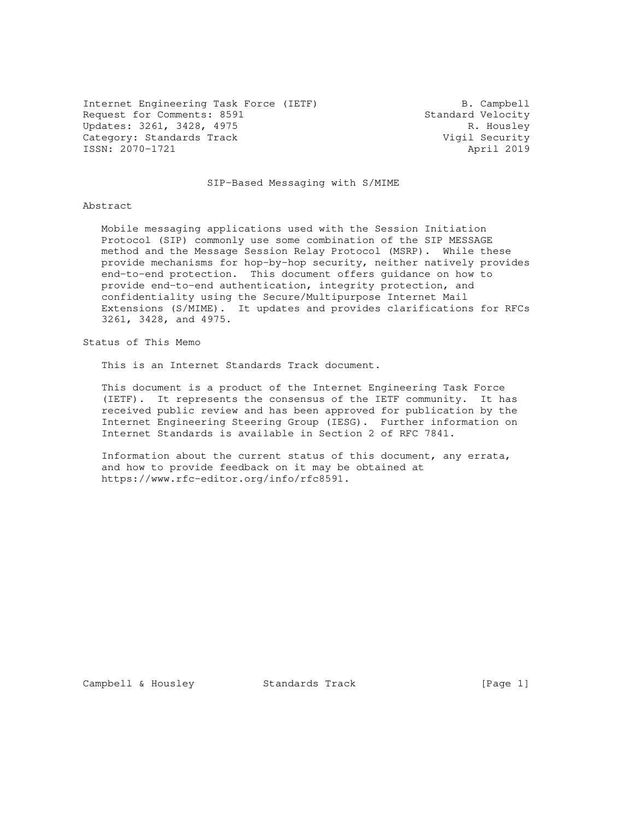Internet Engineering Task Force (IETF) B. Campbell Request for Comments: 8591 Standard Velocity<br>Updates: 3261, 3428, 4975 R. Housley Updates: 3261, 3428, 4975 R. Housley<br>Category: Standards Track Category: Standards Track Category: Standards Track Vigil Security<br>
ISSN: 2070-1721 April 2019 ISSN: 2070-1721

# SIP-Based Messaging with S/MIME

#### Abstract

 Mobile messaging applications used with the Session Initiation Protocol (SIP) commonly use some combination of the SIP MESSAGE method and the Message Session Relay Protocol (MSRP). While these provide mechanisms for hop-by-hop security, neither natively provides end-to-end protection. This document offers guidance on how to provide end-to-end authentication, integrity protection, and confidentiality using the Secure/Multipurpose Internet Mail Extensions (S/MIME). It updates and provides clarifications for RFCs 3261, 3428, and 4975.

Status of This Memo

This is an Internet Standards Track document.

 This document is a product of the Internet Engineering Task Force (IETF). It represents the consensus of the IETF community. It has received public review and has been approved for publication by the Internet Engineering Steering Group (IESG). Further information on Internet Standards is available in Section 2 of RFC 7841.

 Information about the current status of this document, any errata, and how to provide feedback on it may be obtained at https://www.rfc-editor.org/info/rfc8591.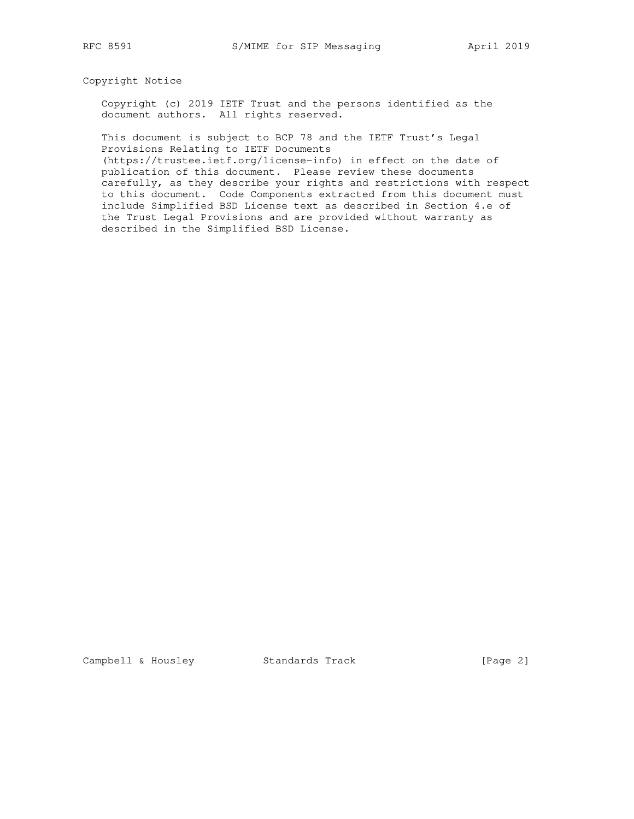# Copyright Notice

 Copyright (c) 2019 IETF Trust and the persons identified as the document authors. All rights reserved.

 This document is subject to BCP 78 and the IETF Trust's Legal Provisions Relating to IETF Documents

 (https://trustee.ietf.org/license-info) in effect on the date of publication of this document. Please review these documents carefully, as they describe your rights and restrictions with respect to this document. Code Components extracted from this document must include Simplified BSD License text as described in Section 4.e of the Trust Legal Provisions and are provided without warranty as described in the Simplified BSD License.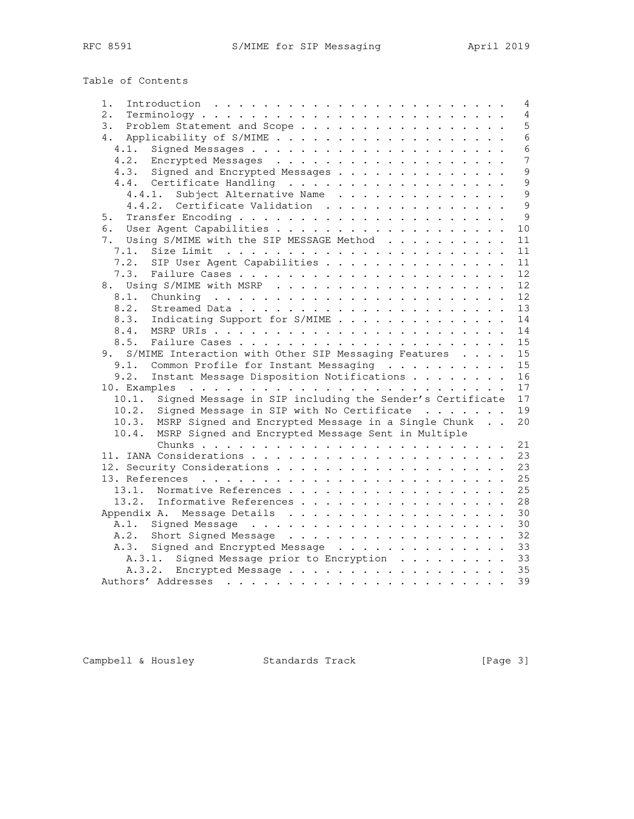| Introduction $\ldots \ldots \ldots \ldots \ldots \ldots \ldots \ldots$<br>1. |  |  | $\overline{4}$ |
|------------------------------------------------------------------------------|--|--|----------------|
| $2$ .                                                                        |  |  | $\overline{4}$ |
| 3.<br>Problem Statement and Scope                                            |  |  | 5              |
| 4.                                                                           |  |  | $6\phantom{a}$ |
| 4.1.                                                                         |  |  | $6\phantom{1}$ |
|                                                                              |  |  | $\overline{7}$ |
| 4.3. Signed and Encrypted Messages                                           |  |  | 9              |
| 4.4. Certificate Handling                                                    |  |  | 9              |
| 4.4.1. Subject Alternative Name                                              |  |  | 9              |
| 4.4.2. Certificate Validation                                                |  |  | 9              |
| 5.                                                                           |  |  | 9              |
| 6.                                                                           |  |  | 10             |
| Using S/MIME with the SIP MESSAGE Method<br>7.                               |  |  | 11             |
| 7.1.                                                                         |  |  | 11             |
| 7.2.<br>SIP User Agent Capabilities                                          |  |  | 11             |
| 7.3.                                                                         |  |  | 12             |
|                                                                              |  |  |                |
|                                                                              |  |  | 12             |
| 8.1.                                                                         |  |  | 12             |
| 8.2.                                                                         |  |  | 13             |
| Indicating Support for S/MIME<br>8.3.                                        |  |  | 14             |
| 8.4.                                                                         |  |  | 14             |
| 8.5.                                                                         |  |  | 15             |
| 9. S/MIME Interaction with Other SIP Messaging Features                      |  |  | 15             |
| 9.1.<br>Common Profile for Instant Messaging                                 |  |  | 15             |
| Instant Message Disposition Notifications<br>9.2.                            |  |  | 16             |
|                                                                              |  |  | 17             |
| 10.1. Signed Message in SIP including the Sender's Certificate               |  |  | 17             |
| 10.2. Signed Message in SIP with No Certificate                              |  |  | 19             |
| 10.3. MSRP Signed and Encrypted Message in a Single Chunk                    |  |  | 20             |
| MSRP Signed and Encrypted Message Sent in Multiple<br>10.4.                  |  |  |                |
|                                                                              |  |  | 21             |
|                                                                              |  |  | 23             |
|                                                                              |  |  | 23             |
|                                                                              |  |  | 25             |
| 13.1. Normative References                                                   |  |  | 25             |
| 13.2. Informative References                                                 |  |  | 28             |
|                                                                              |  |  | 30             |
| A.1.                                                                         |  |  | 30             |
| A.2. Short Signed Message                                                    |  |  | 32             |
| A.3. Signed and Encrypted Message                                            |  |  | 33             |
| A.3.1. Signed Message prior to Encryption                                    |  |  | 33             |
| A.3.2. Encrypted Message                                                     |  |  | 35             |
|                                                                              |  |  | 39             |
|                                                                              |  |  |                |

Campbell & Housley Standards Track [Page 3]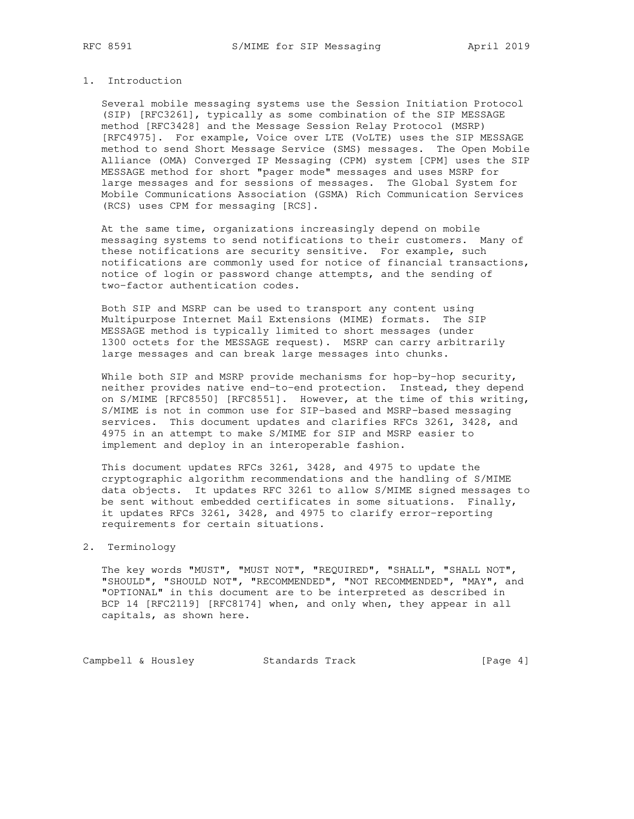# 1. Introduction

 Several mobile messaging systems use the Session Initiation Protocol (SIP) [RFC3261], typically as some combination of the SIP MESSAGE method [RFC3428] and the Message Session Relay Protocol (MSRP) [RFC4975]. For example, Voice over LTE (VoLTE) uses the SIP MESSAGE method to send Short Message Service (SMS) messages. The Open Mobile Alliance (OMA) Converged IP Messaging (CPM) system [CPM] uses the SIP MESSAGE method for short "pager mode" messages and uses MSRP for large messages and for sessions of messages. The Global System for Mobile Communications Association (GSMA) Rich Communication Services (RCS) uses CPM for messaging [RCS].

 At the same time, organizations increasingly depend on mobile messaging systems to send notifications to their customers. Many of these notifications are security sensitive. For example, such notifications are commonly used for notice of financial transactions, notice of login or password change attempts, and the sending of two-factor authentication codes.

 Both SIP and MSRP can be used to transport any content using Multipurpose Internet Mail Extensions (MIME) formats. The SIP MESSAGE method is typically limited to short messages (under 1300 octets for the MESSAGE request). MSRP can carry arbitrarily large messages and can break large messages into chunks.

 While both SIP and MSRP provide mechanisms for hop-by-hop security, neither provides native end-to-end protection. Instead, they depend on S/MIME [RFC8550] [RFC8551]. However, at the time of this writing, S/MIME is not in common use for SIP-based and MSRP-based messaging services. This document updates and clarifies RFCs 3261, 3428, and 4975 in an attempt to make S/MIME for SIP and MSRP easier to implement and deploy in an interoperable fashion.

 This document updates RFCs 3261, 3428, and 4975 to update the cryptographic algorithm recommendations and the handling of S/MIME data objects. It updates RFC 3261 to allow S/MIME signed messages to be sent without embedded certificates in some situations. Finally, it updates RFCs 3261, 3428, and 4975 to clarify error-reporting requirements for certain situations.

# 2. Terminology

 The key words "MUST", "MUST NOT", "REQUIRED", "SHALL", "SHALL NOT", "SHOULD", "SHOULD NOT", "RECOMMENDED", "NOT RECOMMENDED", "MAY", and "OPTIONAL" in this document are to be interpreted as described in BCP 14 [RFC2119] [RFC8174] when, and only when, they appear in all capitals, as shown here.

Campbell & Housley Standards Track [Page 4]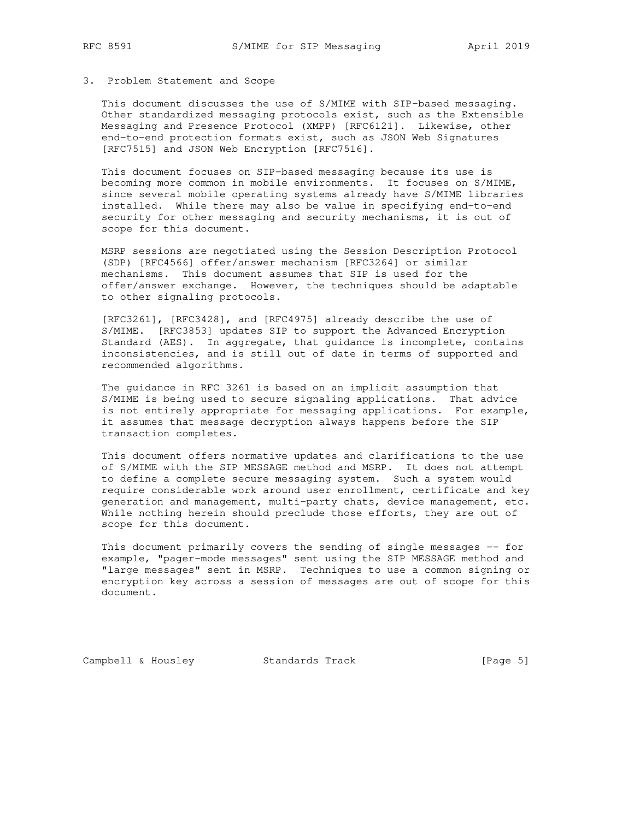## 3. Problem Statement and Scope

 This document discusses the use of S/MIME with SIP-based messaging. Other standardized messaging protocols exist, such as the Extensible Messaging and Presence Protocol (XMPP) [RFC6121]. Likewise, other end-to-end protection formats exist, such as JSON Web Signatures [RFC7515] and JSON Web Encryption [RFC7516].

 This document focuses on SIP-based messaging because its use is becoming more common in mobile environments. It focuses on S/MIME, since several mobile operating systems already have S/MIME libraries installed. While there may also be value in specifying end-to-end security for other messaging and security mechanisms, it is out of scope for this document.

 MSRP sessions are negotiated using the Session Description Protocol (SDP) [RFC4566] offer/answer mechanism [RFC3264] or similar mechanisms. This document assumes that SIP is used for the offer/answer exchange. However, the techniques should be adaptable to other signaling protocols.

 [RFC3261], [RFC3428], and [RFC4975] already describe the use of S/MIME. [RFC3853] updates SIP to support the Advanced Encryption Standard (AES). In aggregate, that guidance is incomplete, contains inconsistencies, and is still out of date in terms of supported and recommended algorithms.

 The guidance in RFC 3261 is based on an implicit assumption that S/MIME is being used to secure signaling applications. That advice is not entirely appropriate for messaging applications. For example, it assumes that message decryption always happens before the SIP transaction completes.

 This document offers normative updates and clarifications to the use of S/MIME with the SIP MESSAGE method and MSRP. It does not attempt to define a complete secure messaging system. Such a system would require considerable work around user enrollment, certificate and key generation and management, multi-party chats, device management, etc. While nothing herein should preclude those efforts, they are out of scope for this document.

 This document primarily covers the sending of single messages -- for example, "pager-mode messages" sent using the SIP MESSAGE method and "large messages" sent in MSRP. Techniques to use a common signing or encryption key across a session of messages are out of scope for this document.

Campbell & Housley Standards Track [Page 5]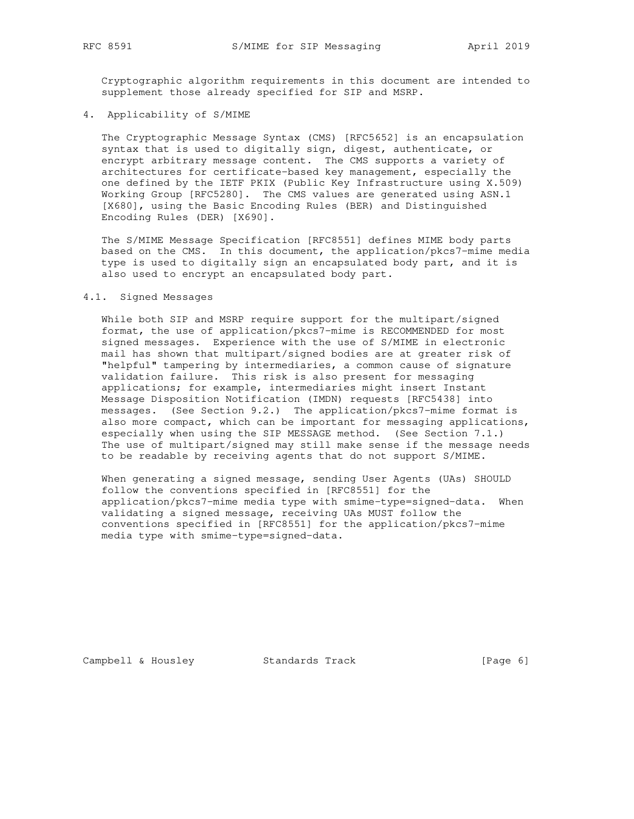Cryptographic algorithm requirements in this document are intended to supplement those already specified for SIP and MSRP.

# 4. Applicability of S/MIME

 The Cryptographic Message Syntax (CMS) [RFC5652] is an encapsulation syntax that is used to digitally sign, digest, authenticate, or encrypt arbitrary message content. The CMS supports a variety of architectures for certificate-based key management, especially the one defined by the IETF PKIX (Public Key Infrastructure using X.509) Working Group [RFC5280]. The CMS values are generated using ASN.1 [X680], using the Basic Encoding Rules (BER) and Distinguished Encoding Rules (DER) [X690].

 The S/MIME Message Specification [RFC8551] defines MIME body parts based on the CMS. In this document, the application/pkcs7-mime media type is used to digitally sign an encapsulated body part, and it is also used to encrypt an encapsulated body part.

# 4.1. Signed Messages

 While both SIP and MSRP require support for the multipart/signed format, the use of application/pkcs7-mime is RECOMMENDED for most signed messages. Experience with the use of S/MIME in electronic mail has shown that multipart/signed bodies are at greater risk of "helpful" tampering by intermediaries, a common cause of signature validation failure. This risk is also present for messaging applications; for example, intermediaries might insert Instant Message Disposition Notification (IMDN) requests [RFC5438] into messages. (See Section 9.2.) The application/pkcs7-mime format is also more compact, which can be important for messaging applications, especially when using the SIP MESSAGE method. (See Section 7.1.) The use of multipart/signed may still make sense if the message needs to be readable by receiving agents that do not support S/MIME.

When generating a signed message, sending User Agents (UAs) SHOULD follow the conventions specified in [RFC8551] for the application/pkcs7-mime media type with smime-type=signed-data. When validating a signed message, receiving UAs MUST follow the conventions specified in [RFC8551] for the application/pkcs7-mime media type with smime-type=signed-data.

Campbell & Housley Standards Track [Page 6]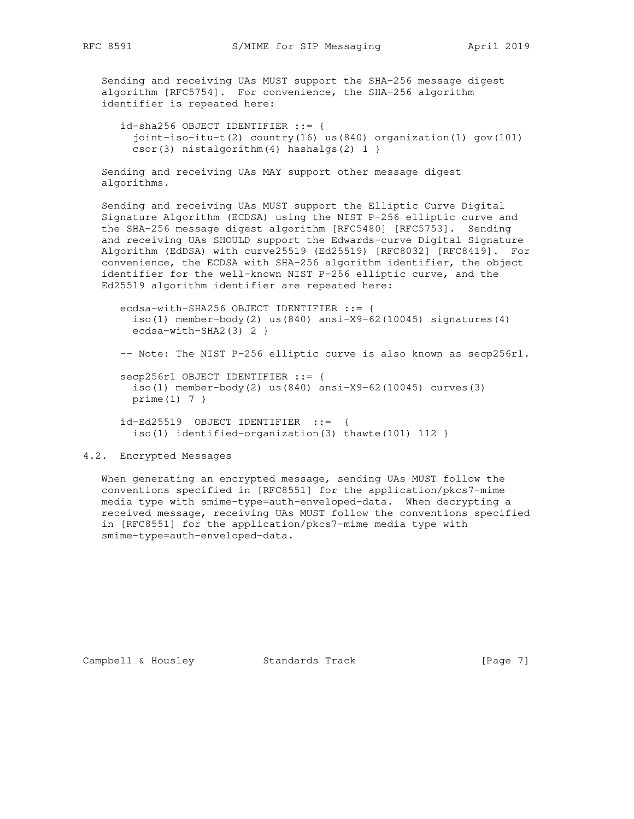Sending and receiving UAs MUST support the SHA-256 message digest algorithm [RFC5754]. For convenience, the SHA-256 algorithm identifier is repeated here:

 id-sha256 OBJECT IDENTIFIER ::= { joint-iso-itu-t(2) country(16) us(840) organization(1) gov(101) csor(3) nistalgorithm(4) hashalgs(2) 1 }

 Sending and receiving UAs MAY support other message digest algorithms.

 Sending and receiving UAs MUST support the Elliptic Curve Digital Signature Algorithm (ECDSA) using the NIST P-256 elliptic curve and the SHA-256 message digest algorithm [RFC5480] [RFC5753]. Sending and receiving UAs SHOULD support the Edwards-curve Digital Signature Algorithm (EdDSA) with curve25519 (Ed25519) [RFC8032] [RFC8419]. For convenience, the ECDSA with SHA-256 algorithm identifier, the object identifier for the well-known NIST P-256 elliptic curve, and the Ed25519 algorithm identifier are repeated here:

```
 ecdsa-with-SHA256 OBJECT IDENTIFIER ::= {
   iso(1) member-body(2) us(840) ansi-X9-62(10045) signatures(4)
  ecdsa-with-SHA2(3) 2 }
 -- Note: The NIST P-256 elliptic curve is also known as secp256r1.
 secp256r1 OBJECT IDENTIFIER ::= {
  iso(1) member-body(2) us(840) ansi-X9-62(10045) curves(3)
  prime(1) 7 }
 id-Ed25519 OBJECT IDENTIFIER ::= {
   iso(1) identified-organization(3) thawte(101) 112 }
```
# 4.2. Encrypted Messages

 When generating an encrypted message, sending UAs MUST follow the conventions specified in [RFC8551] for the application/pkcs7-mime media type with smime-type=auth-enveloped-data. When decrypting a received message, receiving UAs MUST follow the conventions specified in [RFC8551] for the application/pkcs7-mime media type with smime-type=auth-enveloped-data.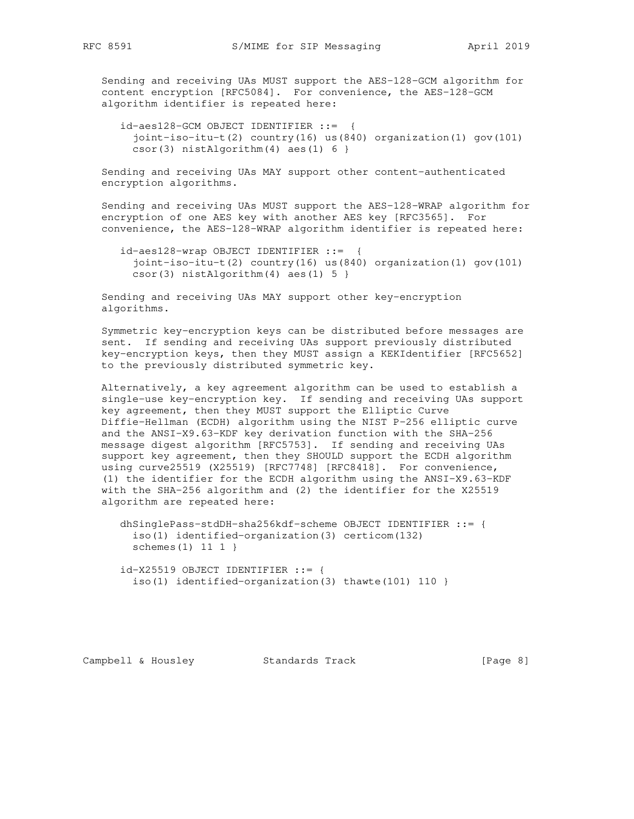Sending and receiving UAs MUST support the AES-128-GCM algorithm for content encryption [RFC5084]. For convenience, the AES-128-GCM algorithm identifier is repeated here:

 id-aes128-GCM OBJECT IDENTIFIER ::= { joint-iso-itu-t(2) country(16) us(840) organization(1) gov(101)  $csor(3)$  nistAlgorithm $(4)$  aes $(1)$  6 }

 Sending and receiving UAs MAY support other content-authenticated encryption algorithms.

 Sending and receiving UAs MUST support the AES-128-WRAP algorithm for encryption of one AES key with another AES key [RFC3565]. For convenience, the AES-128-WRAP algorithm identifier is repeated here:

 id-aes128-wrap OBJECT IDENTIFIER ::= { joint-iso-itu-t(2) country(16) us(840) organization(1) gov(101)  $csor(3)$  nistAlgorithm(4) aes(1) 5 }

 Sending and receiving UAs MAY support other key-encryption algorithms.

 Symmetric key-encryption keys can be distributed before messages are sent. If sending and receiving UAs support previously distributed key-encryption keys, then they MUST assign a KEKIdentifier [RFC5652] to the previously distributed symmetric key.

 Alternatively, a key agreement algorithm can be used to establish a single-use key-encryption key. If sending and receiving UAs support key agreement, then they MUST support the Elliptic Curve Diffie-Hellman (ECDH) algorithm using the NIST P-256 elliptic curve and the ANSI-X9.63-KDF key derivation function with the SHA-256 message digest algorithm [RFC5753]. If sending and receiving UAs support key agreement, then they SHOULD support the ECDH algorithm using curve25519 (X25519) [RFC7748] [RFC8418]. For convenience, (1) the identifier for the ECDH algorithm using the ANSI-X9.63-KDF with the SHA-256 algorithm and (2) the identifier for the X25519 algorithm are repeated here:

```
 dhSinglePass-stdDH-sha256kdf-scheme OBJECT IDENTIFIER ::= {
   iso(1) identified-organization(3) certicom(132)
  schemes(1) 11 1 }
```
 id-X25519 OBJECT IDENTIFIER ::= { iso(1) identified-organization(3) thawte(101) 110 }

Campbell & Housley Standards Track [Page 8]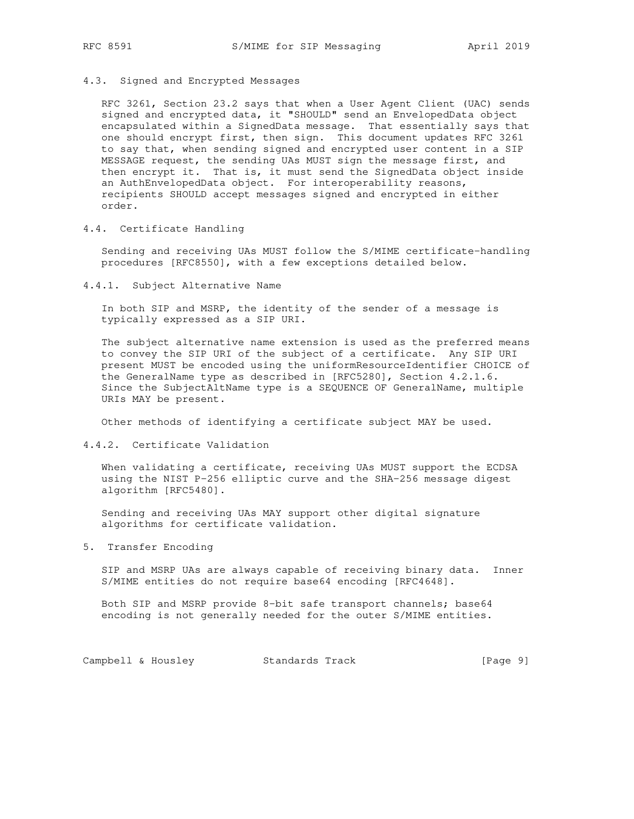# 4.3. Signed and Encrypted Messages

 RFC 3261, Section 23.2 says that when a User Agent Client (UAC) sends signed and encrypted data, it "SHOULD" send an EnvelopedData object encapsulated within a SignedData message. That essentially says that one should encrypt first, then sign. This document updates RFC 3261 to say that, when sending signed and encrypted user content in a SIP MESSAGE request, the sending UAs MUST sign the message first, and then encrypt it. That is, it must send the SignedData object inside an AuthEnvelopedData object. For interoperability reasons, recipients SHOULD accept messages signed and encrypted in either order.

# 4.4. Certificate Handling

 Sending and receiving UAs MUST follow the S/MIME certificate-handling procedures [RFC8550], with a few exceptions detailed below.

4.4.1. Subject Alternative Name

 In both SIP and MSRP, the identity of the sender of a message is typically expressed as a SIP URI.

 The subject alternative name extension is used as the preferred means to convey the SIP URI of the subject of a certificate. Any SIP URI present MUST be encoded using the uniformResourceIdentifier CHOICE of the GeneralName type as described in [RFC5280], Section 4.2.1.6. Since the SubjectAltName type is a SEQUENCE OF GeneralName, multiple URIs MAY be present.

Other methods of identifying a certificate subject MAY be used.

## 4.4.2. Certificate Validation

 When validating a certificate, receiving UAs MUST support the ECDSA using the NIST P-256 elliptic curve and the SHA-256 message digest algorithm [RFC5480].

 Sending and receiving UAs MAY support other digital signature algorithms for certificate validation.

5. Transfer Encoding

 SIP and MSRP UAs are always capable of receiving binary data. Inner S/MIME entities do not require base64 encoding [RFC4648].

 Both SIP and MSRP provide 8-bit safe transport channels; base64 encoding is not generally needed for the outer S/MIME entities.

Campbell & Housley Standards Track [Page 9]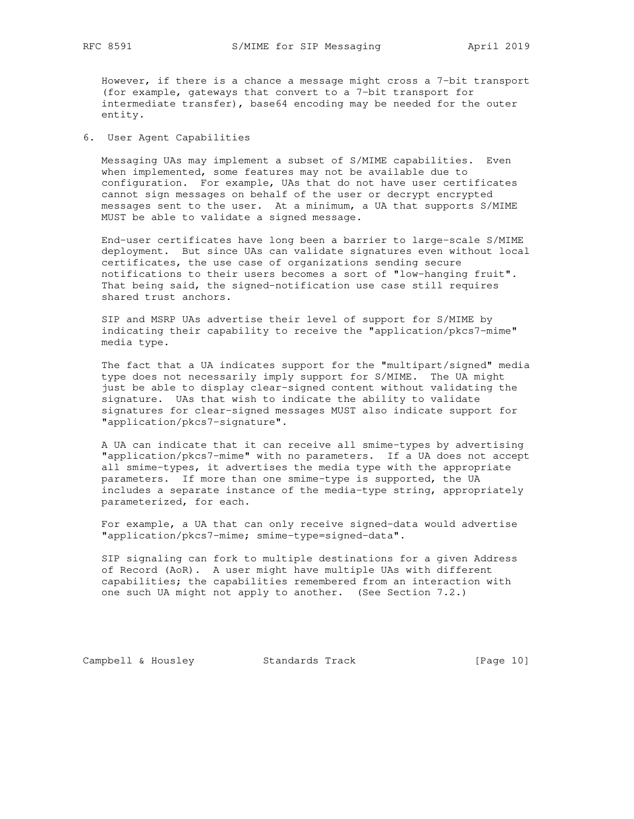However, if there is a chance a message might cross a 7-bit transport (for example, gateways that convert to a 7-bit transport for intermediate transfer), base64 encoding may be needed for the outer entity.

6. User Agent Capabilities

 Messaging UAs may implement a subset of S/MIME capabilities. Even when implemented, some features may not be available due to configuration. For example, UAs that do not have user certificates cannot sign messages on behalf of the user or decrypt encrypted messages sent to the user. At a minimum, a UA that supports S/MIME MUST be able to validate a signed message.

 End-user certificates have long been a barrier to large-scale S/MIME deployment. But since UAs can validate signatures even without local certificates, the use case of organizations sending secure notifications to their users becomes a sort of "low-hanging fruit". That being said, the signed-notification use case still requires shared trust anchors.

 SIP and MSRP UAs advertise their level of support for S/MIME by indicating their capability to receive the "application/pkcs7-mime" media type.

 The fact that a UA indicates support for the "multipart/signed" media type does not necessarily imply support for S/MIME. The UA might just be able to display clear-signed content without validating the signature. UAs that wish to indicate the ability to validate signatures for clear-signed messages MUST also indicate support for "application/pkcs7-signature".

 A UA can indicate that it can receive all smime-types by advertising "application/pkcs7-mime" with no parameters. If a UA does not accept all smime-types, it advertises the media type with the appropriate parameters. If more than one smime-type is supported, the UA includes a separate instance of the media-type string, appropriately parameterized, for each.

 For example, a UA that can only receive signed-data would advertise "application/pkcs7-mime; smime-type=signed-data".

 SIP signaling can fork to multiple destinations for a given Address of Record (AoR). A user might have multiple UAs with different capabilities; the capabilities remembered from an interaction with one such UA might not apply to another. (See Section 7.2.)

Campbell & Housley Standards Track [Page 10]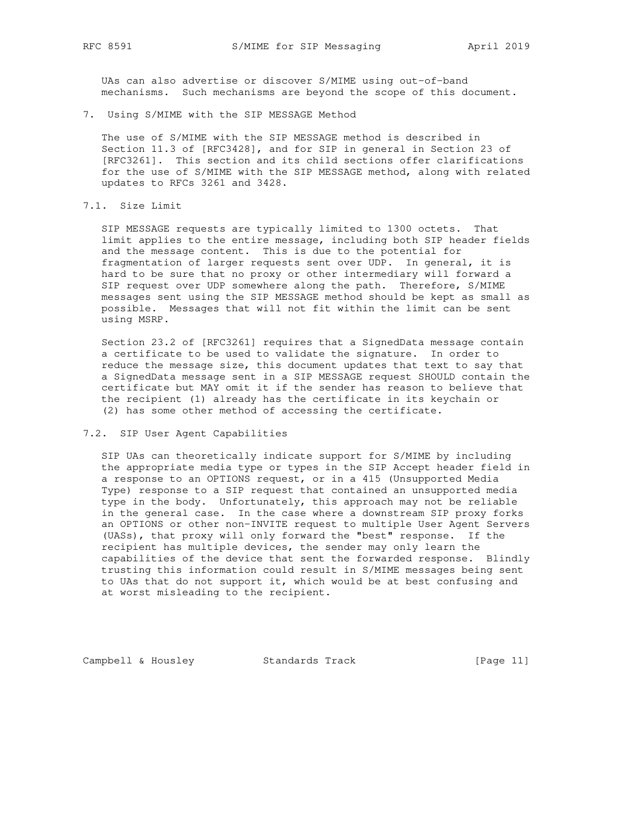UAs can also advertise or discover S/MIME using out-of-band mechanisms. Such mechanisms are beyond the scope of this document.

7. Using S/MIME with the SIP MESSAGE Method

 The use of S/MIME with the SIP MESSAGE method is described in Section 11.3 of [RFC3428], and for SIP in general in Section 23 of [RFC3261]. This section and its child sections offer clarifications for the use of S/MIME with the SIP MESSAGE method, along with related updates to RFCs 3261 and 3428.

# 7.1. Size Limit

 SIP MESSAGE requests are typically limited to 1300 octets. That limit applies to the entire message, including both SIP header fields and the message content. This is due to the potential for fragmentation of larger requests sent over UDP. In general, it is hard to be sure that no proxy or other intermediary will forward a SIP request over UDP somewhere along the path. Therefore, S/MIME messages sent using the SIP MESSAGE method should be kept as small as possible. Messages that will not fit within the limit can be sent using MSRP.

 Section 23.2 of [RFC3261] requires that a SignedData message contain a certificate to be used to validate the signature. In order to reduce the message size, this document updates that text to say that a SignedData message sent in a SIP MESSAGE request SHOULD contain the certificate but MAY omit it if the sender has reason to believe that the recipient (1) already has the certificate in its keychain or (2) has some other method of accessing the certificate.

## 7.2. SIP User Agent Capabilities

 SIP UAs can theoretically indicate support for S/MIME by including the appropriate media type or types in the SIP Accept header field in a response to an OPTIONS request, or in a 415 (Unsupported Media Type) response to a SIP request that contained an unsupported media type in the body. Unfortunately, this approach may not be reliable in the general case. In the case where a downstream SIP proxy forks an OPTIONS or other non-INVITE request to multiple User Agent Servers (UASs), that proxy will only forward the "best" response. If the recipient has multiple devices, the sender may only learn the capabilities of the device that sent the forwarded response. Blindly trusting this information could result in S/MIME messages being sent to UAs that do not support it, which would be at best confusing and at worst misleading to the recipient.

Campbell & Housley Standards Track [Page 11]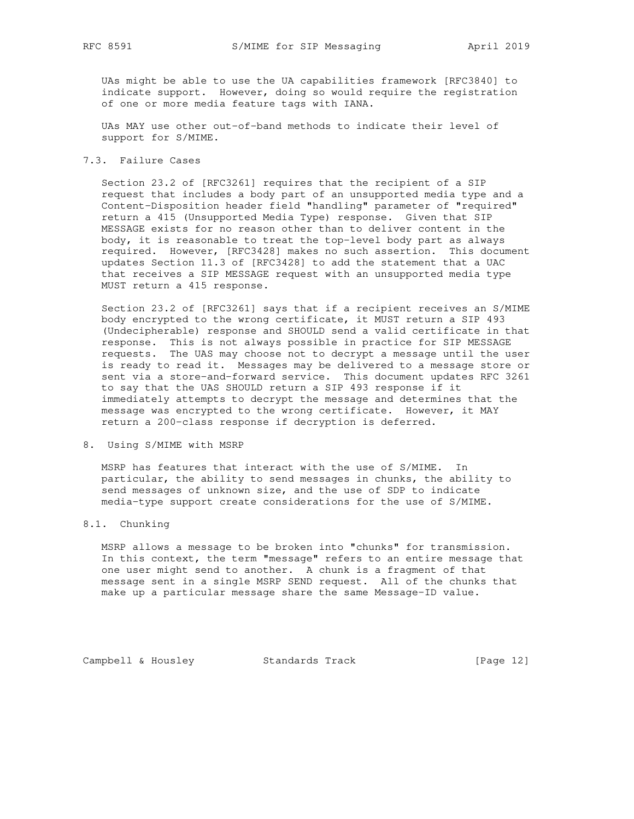UAs might be able to use the UA capabilities framework [RFC3840] to indicate support. However, doing so would require the registration of one or more media feature tags with IANA.

 UAs MAY use other out-of-band methods to indicate their level of support for S/MIME.

# 7.3. Failure Cases

 Section 23.2 of [RFC3261] requires that the recipient of a SIP request that includes a body part of an unsupported media type and a Content-Disposition header field "handling" parameter of "required" return a 415 (Unsupported Media Type) response. Given that SIP MESSAGE exists for no reason other than to deliver content in the body, it is reasonable to treat the top-level body part as always required. However, [RFC3428] makes no such assertion. This document updates Section 11.3 of [RFC3428] to add the statement that a UAC that receives a SIP MESSAGE request with an unsupported media type MUST return a 415 response.

 Section 23.2 of [RFC3261] says that if a recipient receives an S/MIME body encrypted to the wrong certificate, it MUST return a SIP 493 (Undecipherable) response and SHOULD send a valid certificate in that response. This is not always possible in practice for SIP MESSAGE requests. The UAS may choose not to decrypt a message until the user is ready to read it. Messages may be delivered to a message store or sent via a store-and-forward service. This document updates RFC 3261 to say that the UAS SHOULD return a SIP 493 response if it immediately attempts to decrypt the message and determines that the message was encrypted to the wrong certificate. However, it MAY return a 200-class response if decryption is deferred.

## 8. Using S/MIME with MSRP

 MSRP has features that interact with the use of S/MIME. In particular, the ability to send messages in chunks, the ability to send messages of unknown size, and the use of SDP to indicate media-type support create considerations for the use of S/MIME.

## 8.1. Chunking

 MSRP allows a message to be broken into "chunks" for transmission. In this context, the term "message" refers to an entire message that one user might send to another. A chunk is a fragment of that message sent in a single MSRP SEND request. All of the chunks that make up a particular message share the same Message-ID value.

Campbell & Housley Standards Track [Page 12]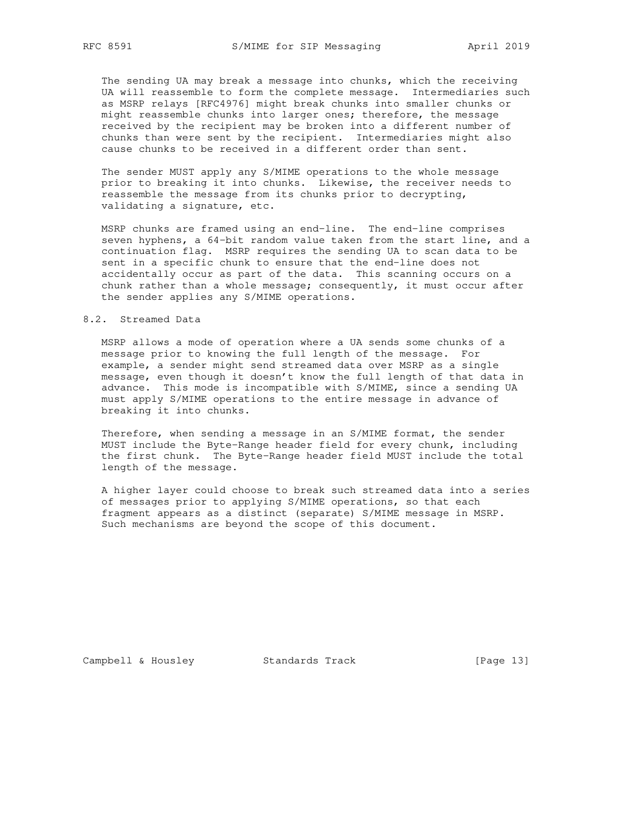The sending UA may break a message into chunks, which the receiving UA will reassemble to form the complete message. Intermediaries such as MSRP relays [RFC4976] might break chunks into smaller chunks or might reassemble chunks into larger ones; therefore, the message received by the recipient may be broken into a different number of chunks than were sent by the recipient. Intermediaries might also cause chunks to be received in a different order than sent.

 The sender MUST apply any S/MIME operations to the whole message prior to breaking it into chunks. Likewise, the receiver needs to reassemble the message from its chunks prior to decrypting, validating a signature, etc.

 MSRP chunks are framed using an end-line. The end-line comprises seven hyphens, a 64-bit random value taken from the start line, and a continuation flag. MSRP requires the sending UA to scan data to be sent in a specific chunk to ensure that the end-line does not accidentally occur as part of the data. This scanning occurs on a chunk rather than a whole message; consequently, it must occur after the sender applies any S/MIME operations.

## 8.2. Streamed Data

 MSRP allows a mode of operation where a UA sends some chunks of a message prior to knowing the full length of the message. For example, a sender might send streamed data over MSRP as a single message, even though it doesn't know the full length of that data in advance. This mode is incompatible with S/MIME, since a sending UA must apply S/MIME operations to the entire message in advance of breaking it into chunks.

 Therefore, when sending a message in an S/MIME format, the sender MUST include the Byte-Range header field for every chunk, including the first chunk. The Byte-Range header field MUST include the total length of the message.

 A higher layer could choose to break such streamed data into a series of messages prior to applying S/MIME operations, so that each fragment appears as a distinct (separate) S/MIME message in MSRP. Such mechanisms are beyond the scope of this document.

Campbell & Housley Standards Track [Page 13]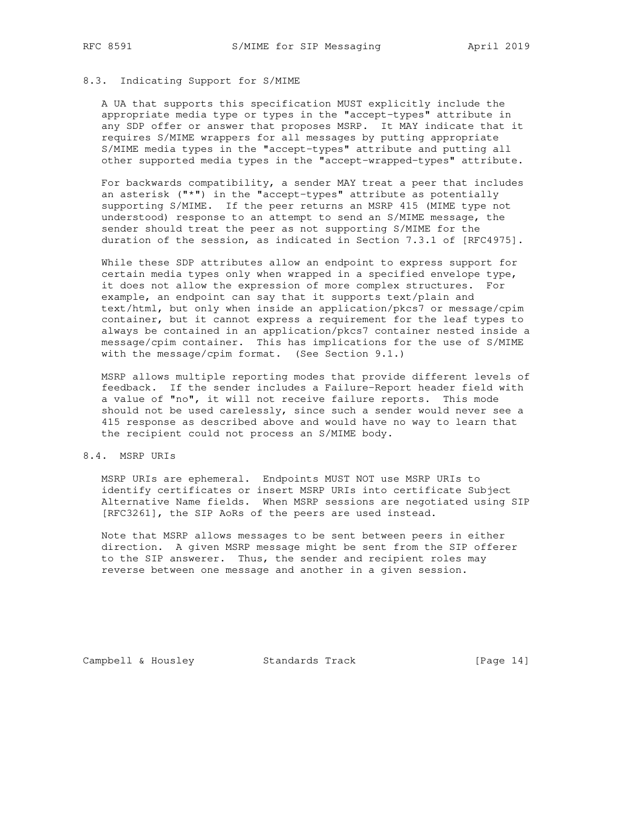# 8.3. Indicating Support for S/MIME

 A UA that supports this specification MUST explicitly include the appropriate media type or types in the "accept-types" attribute in any SDP offer or answer that proposes MSRP. It MAY indicate that it requires S/MIME wrappers for all messages by putting appropriate S/MIME media types in the "accept-types" attribute and putting all other supported media types in the "accept-wrapped-types" attribute.

 For backwards compatibility, a sender MAY treat a peer that includes an asterisk ("\*") in the "accept-types" attribute as potentially supporting S/MIME. If the peer returns an MSRP 415 (MIME type not understood) response to an attempt to send an S/MIME message, the sender should treat the peer as not supporting S/MIME for the duration of the session, as indicated in Section 7.3.1 of [RFC4975].

 While these SDP attributes allow an endpoint to express support for certain media types only when wrapped in a specified envelope type, it does not allow the expression of more complex structures. For example, an endpoint can say that it supports text/plain and text/html, but only when inside an application/pkcs7 or message/cpim container, but it cannot express a requirement for the leaf types to always be contained in an application/pkcs7 container nested inside a message/cpim container. This has implications for the use of S/MIME with the message/cpim format. (See Section 9.1.)

 MSRP allows multiple reporting modes that provide different levels of feedback. If the sender includes a Failure-Report header field with a value of "no", it will not receive failure reports. This mode should not be used carelessly, since such a sender would never see a 415 response as described above and would have no way to learn that the recipient could not process an S/MIME body.

## 8.4. MSRP URIs

 MSRP URIs are ephemeral. Endpoints MUST NOT use MSRP URIs to identify certificates or insert MSRP URIs into certificate Subject Alternative Name fields. When MSRP sessions are negotiated using SIP [RFC3261], the SIP AoRs of the peers are used instead.

 Note that MSRP allows messages to be sent between peers in either direction. A given MSRP message might be sent from the SIP offerer to the SIP answerer. Thus, the sender and recipient roles may reverse between one message and another in a given session.

Campbell & Housley Standards Track [Page 14]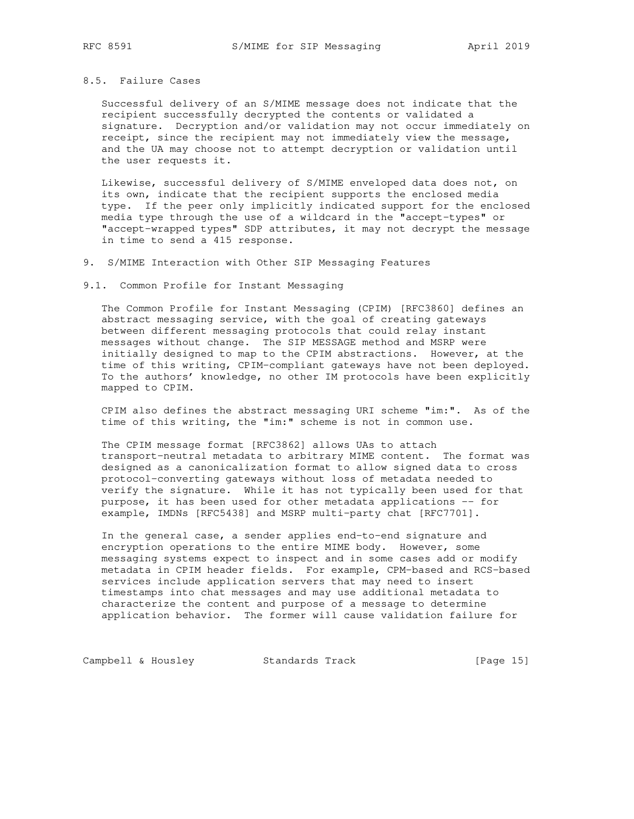## 8.5. Failure Cases

 Successful delivery of an S/MIME message does not indicate that the recipient successfully decrypted the contents or validated a signature. Decryption and/or validation may not occur immediately on receipt, since the recipient may not immediately view the message, and the UA may choose not to attempt decryption or validation until the user requests it.

 Likewise, successful delivery of S/MIME enveloped data does not, on its own, indicate that the recipient supports the enclosed media type. If the peer only implicitly indicated support for the enclosed media type through the use of a wildcard in the "accept-types" or "accept-wrapped types" SDP attributes, it may not decrypt the message in time to send a 415 response.

9. S/MIME Interaction with Other SIP Messaging Features

9.1. Common Profile for Instant Messaging

 The Common Profile for Instant Messaging (CPIM) [RFC3860] defines an abstract messaging service, with the goal of creating gateways between different messaging protocols that could relay instant messages without change. The SIP MESSAGE method and MSRP were initially designed to map to the CPIM abstractions. However, at the time of this writing, CPIM-compliant gateways have not been deployed. To the authors' knowledge, no other IM protocols have been explicitly mapped to CPIM.

 CPIM also defines the abstract messaging URI scheme "im:". As of the time of this writing, the "im:" scheme is not in common use.

 The CPIM message format [RFC3862] allows UAs to attach transport-neutral metadata to arbitrary MIME content. The format was designed as a canonicalization format to allow signed data to cross protocol-converting gateways without loss of metadata needed to verify the signature. While it has not typically been used for that purpose, it has been used for other metadata applications -- for example, IMDNs [RFC5438] and MSRP multi-party chat [RFC7701].

 In the general case, a sender applies end-to-end signature and encryption operations to the entire MIME body. However, some messaging systems expect to inspect and in some cases add or modify metadata in CPIM header fields. For example, CPM-based and RCS-based services include application servers that may need to insert timestamps into chat messages and may use additional metadata to characterize the content and purpose of a message to determine application behavior. The former will cause validation failure for

Campbell & Housley Standards Track [Page 15]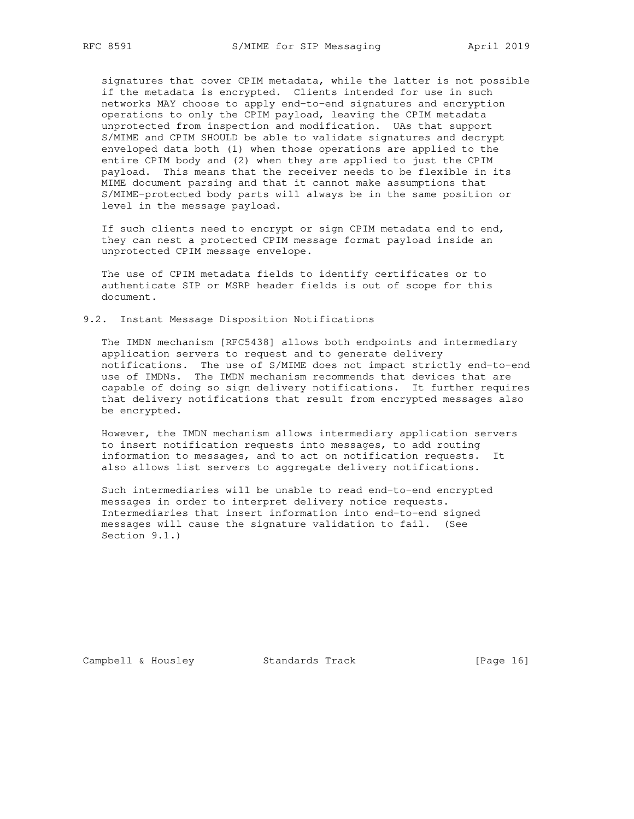signatures that cover CPIM metadata, while the latter is not possible if the metadata is encrypted. Clients intended for use in such networks MAY choose to apply end-to-end signatures and encryption operations to only the CPIM payload, leaving the CPIM metadata unprotected from inspection and modification. UAs that support S/MIME and CPIM SHOULD be able to validate signatures and decrypt enveloped data both (1) when those operations are applied to the entire CPIM body and (2) when they are applied to just the CPIM payload. This means that the receiver needs to be flexible in its MIME document parsing and that it cannot make assumptions that S/MIME-protected body parts will always be in the same position or level in the message payload.

 If such clients need to encrypt or sign CPIM metadata end to end, they can nest a protected CPIM message format payload inside an unprotected CPIM message envelope.

 The use of CPIM metadata fields to identify certificates or to authenticate SIP or MSRP header fields is out of scope for this document.

## 9.2. Instant Message Disposition Notifications

 The IMDN mechanism [RFC5438] allows both endpoints and intermediary application servers to request and to generate delivery notifications. The use of S/MIME does not impact strictly end-to-end use of IMDNs. The IMDN mechanism recommends that devices that are capable of doing so sign delivery notifications. It further requires that delivery notifications that result from encrypted messages also be encrypted.

 However, the IMDN mechanism allows intermediary application servers to insert notification requests into messages, to add routing information to messages, and to act on notification requests. It also allows list servers to aggregate delivery notifications.

 Such intermediaries will be unable to read end-to-end encrypted messages in order to interpret delivery notice requests. Intermediaries that insert information into end-to-end signed messages will cause the signature validation to fail. (See Section 9.1.)

Campbell & Housley Standards Track [Page 16]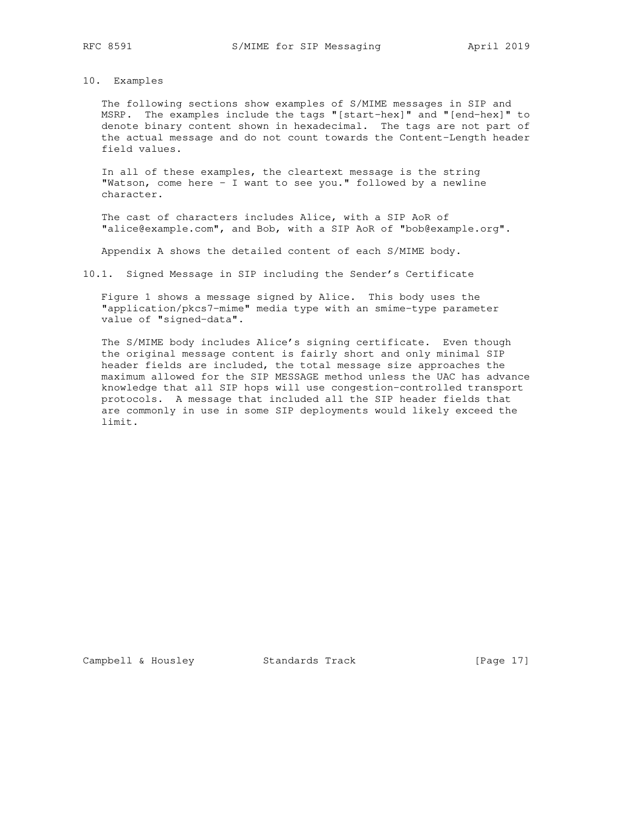# 10. Examples

 The following sections show examples of S/MIME messages in SIP and MSRP. The examples include the tags "[start-hex]" and "[end-hex]" to denote binary content shown in hexadecimal. The tags are not part of the actual message and do not count towards the Content-Length header field values.

 In all of these examples, the cleartext message is the string "Watson, come here - I want to see you." followed by a newline character.

 The cast of characters includes Alice, with a SIP AoR of "alice@example.com", and Bob, with a SIP AoR of "bob@example.org".

Appendix A shows the detailed content of each S/MIME body.

10.1. Signed Message in SIP including the Sender's Certificate

 Figure 1 shows a message signed by Alice. This body uses the "application/pkcs7-mime" media type with an smime-type parameter value of "signed-data".

 The S/MIME body includes Alice's signing certificate. Even though the original message content is fairly short and only minimal SIP header fields are included, the total message size approaches the maximum allowed for the SIP MESSAGE method unless the UAC has advance knowledge that all SIP hops will use congestion-controlled transport protocols. A message that included all the SIP header fields that are commonly in use in some SIP deployments would likely exceed the limit.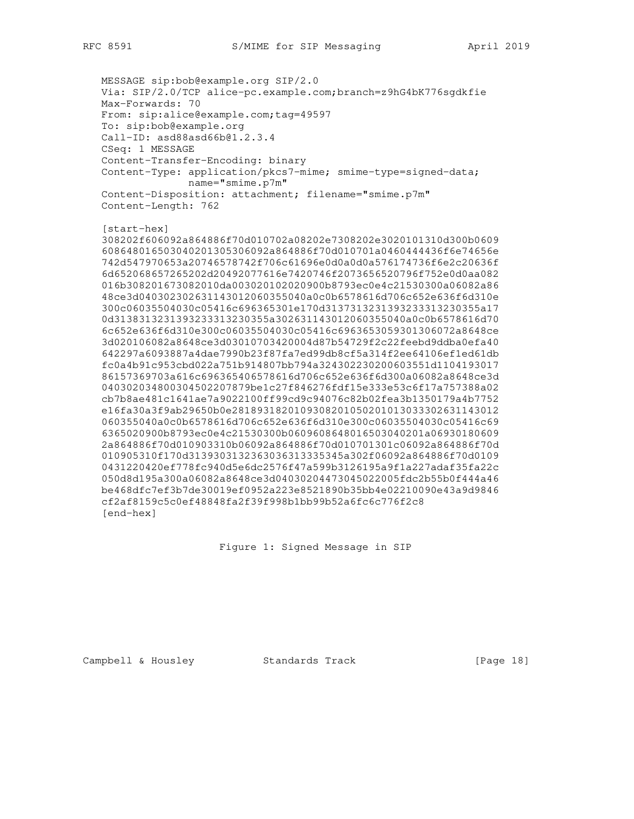MESSAGE sip:bob@example.org SIP/2.0 Via: SIP/2.0/TCP alice-pc.example.com;branch=z9hG4bK776sgdkfie Max-Forwards: 70 From: sip:alice@example.com;tag=49597 To: sip:bob@example.org Call-ID: asd88asd66b@1.2.3.4 CSeq: 1 MESSAGE Content-Transfer-Encoding: binary Content-Type: application/pkcs7-mime; smime-type=signed-data; name="smime.p7m" Content-Disposition: attachment; filename="smime.p7m" Content-Length: 762 [start-hex] 308202f606092a864886f70d010702a08202e7308202e3020101310d300b0609 608648016503040201305306092a864886f70d010701a0460444436f6e74656e 742d547970653a20746578742f706c61696e0d0a0d0a576174736f6e2c20636f 6d652068657265202d20492077616e7420746f2073656520796f752e0d0aa082 016b308201673082010da003020102020900b8793ec0e4c21530300a06082a86 48ce3d040302302631143012060355040a0c0b6578616d706c652e636f6d310e 300c06035504030c05416c696365301e170d3137313231393233313230355a17 0d3138313231393233313230355a302631143012060355040a0c0b6578616d70 6c652e636f6d310e300c06035504030c05416c6963653059301306072a8648ce 3d020106082a8648ce3d03010703420004d87b54729f2c22feebd9ddba0efa40 642297a6093887a4dae7990b23f87fa7ed99db8cf5a314f2ee64106ef1ed61db fc0a4b91c953cbd022a751b914807bb794a324302230200603551d1104193017 86157369703a616c696365406578616d706c652e636f6d300a06082a8648ce3d 040302034800304502207879be1c27f846276fdf15e333e53c6f17a757388a02 cb7b8ae481c1641ae7a9022100ff99cd9c94076c82b02fea3b1350179a4b7752 e16fa30a3f9ab29650b0e2818931820109308201050201013033302631143012 060355040a0c0b6578616d706c652e636f6d310e300c06035504030c05416c69 6365020900b8793ec0e4c21530300b0609608648016503040201a06930180609 2a864886f70d010903310b06092a864886f70d010701301c06092a864886f70d 010905310f170d3139303132363036313335345a302f06092a864886f70d0109 0431220420ef778fc940d5e6dc2576f47a599b3126195a9f1a227adaf35fa22c 050d8d195a300a06082a8648ce3d04030204473045022005fdc2b55b0f444a46 be468dfc7ef3b7de30019ef0952a223e8521890b35bb4e02210090e43a9d9846 cf2af8159c5c0ef48848fa2f39f998b1bb99b52a6fc6c776f2c8 [end-hex]

Figure 1: Signed Message in SIP

Campbell & Housley Standards Track [Page 18]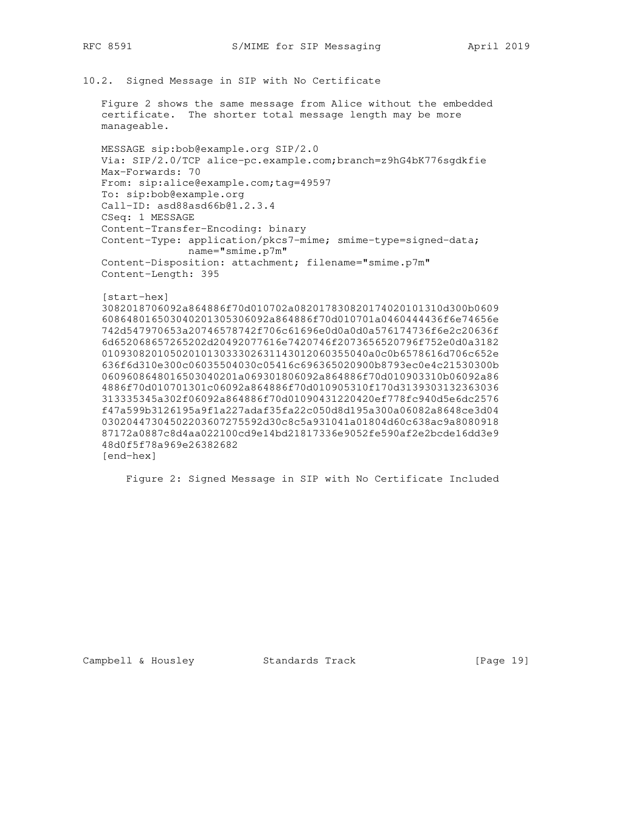```
10.2. Signed Message in SIP with No Certificate
```
 Figure 2 shows the same message from Alice without the embedded certificate. The shorter total message length may be more manageable.

 MESSAGE sip:bob@example.org SIP/2.0 Via: SIP/2.0/TCP alice-pc.example.com;branch=z9hG4bK776sgdkfie Max-Forwards: 70 From: sip:alice@example.com;tag=49597 To: sip:bob@example.org Call-ID: asd88asd66b@1.2.3.4 CSeq: 1 MESSAGE Content-Transfer-Encoding: binary Content-Type: application/pkcs7-mime; smime-type=signed-data; name="smime.p7m" Content-Disposition: attachment; filename="smime.p7m" Content-Length: 395

```
 [start-hex]
```
 3082018706092a864886f70d010702a082017830820174020101310d300b0609 608648016503040201305306092a864886f70d010701a0460444436f6e74656e 742d547970653a20746578742f706c61696e0d0a0d0a576174736f6e2c20636f 6d652068657265202d20492077616e7420746f2073656520796f752e0d0a3182 0109308201050201013033302631143012060355040a0c0b6578616d706c652e 636f6d310e300c06035504030c05416c696365020900b8793ec0e4c21530300b 0609608648016503040201a069301806092a864886f70d010903310b06092a86 4886f70d010701301c06092a864886f70d010905310f170d3139303132363036 313335345a302f06092a864886f70d01090431220420ef778fc940d5e6dc2576 f47a599b3126195a9f1a227adaf35fa22c050d8d195a300a06082a8648ce3d04 03020447304502203607275592d30c8c5a931041a01804d60c638ac9a8080918 87172a0887c8d4aa022100cd9e14bd21817336e9052fe590af2e2bcde16dd3e9 48d0f5f78a969e26382682 [end-hex]

Figure 2: Signed Message in SIP with No Certificate Included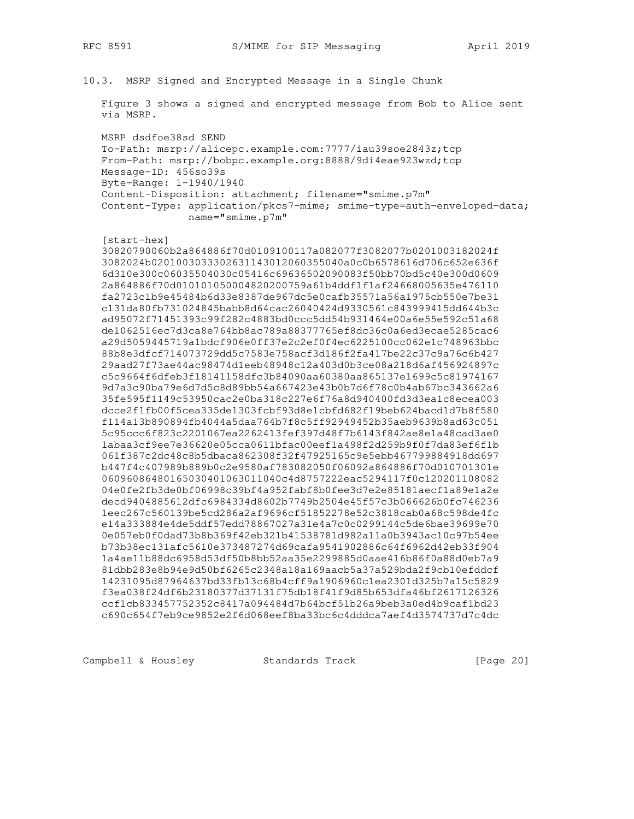10.3. MSRP Signed and Encrypted Message in a Single Chunk

 Figure 3 shows a signed and encrypted message from Bob to Alice sent via MSRP.

 MSRP dsdfoe38sd SEND To-Path: msrp://alicepc.example.com:7777/iau39soe2843z;tcp From-Path: msrp://bobpc.example.org:8888/9di4eae923wzd;tcp Message-ID: 456so39s Byte-Range: 1-1940/1940 Content-Disposition: attachment; filename="smime.p7m" Content-Type: application/pkcs7-mime; smime-type=auth-enveloped-data; name="smime.p7m"

```
 [start-hex]
```
 30820790060b2a864886f70d0109100117a082077f3082077b0201003182024f 3082024b0201003033302631143012060355040a0c0b6578616d706c652e636f 6d310e300c06035504030c05416c69636502090083f50bb70bd5c40e300d0609 2a864886f70d010101050004820200759a61b4ddf1f1af24668005635e476110 fa2723c1b9e45484b6d33e8387de967dc5e0cafb35571a56a1975cb550e7be31 c131da80fb731024845babb8d64cac26040424d9330561c843999415dd644b3c ad95072f71451393c99f282c4883bd0ccc5dd54b931464e00a6e55e592c51a68 de1062516ec7d3ca8e764bb8ac789a88377765ef8dc36c0a6ed3ecae5285cac6 a29d5059445719a1bdcf906e0ff37e2c2ef0f4ec6225100cc062e1c748963bbc 88b8e3dfcf714073729dd5c7583e758acf3d186f2fa417be22c37c9a76c6b427 29aad27f73ae44ac98474d1eeb48948c12a403d0b3ce08a218d6af456924897c c5c9664f6dfeb3f18141158dfc3b84090aa60380aa865137e1699c5c81974167 9d7a3c90ba79e6d7d5c8d89bb54a667423e43b0b7d6f78c0b4ab67bc343662a6 35fe595f1149c53950cac2e0ba318c227e6f76a8d940400fd3d3ea1c8ecea003 dcce2f1fb00f5cea335de1303fcbf93d8e1cbfd682f19beb624bacd1d7b8f580 f114a13b890894fb4044a5daa764b7f8c5ff92949452b35aeb9639b8ad63c051 5c95ccc6f823c2201067ea2262413fef397d48f7b6143f842ae8e1a48cad3ae0 1abaa3cf9ee7e36620e05cca0611bfac00eef1a498f2d259b9f0f7da83ef6f1b 061f387c2dc48c8b5dbaca862308f32f47925165c9e5ebb467799884918dd697 b447f4c407989b889b0c2e9580af783082050f06092a864886f70d010701301e 06096086480165030401063011040c4d8757222eac5294117f0c120201108082 04e0fe2fb3de0bf06998c39bf4a952fabf8b0fee3d7e2e85181aecf1a89e1a2e decd9404885612dfc6984334d8602b7749b2504e45f57c3b066626b0fc746236 1eec267c560139be5cd286a2af9696cf51852278e52c3818cab0a68c598de4fc e14a333884e4de5ddf57edd78867027a31e4a7c0c0299144c5de6bae39699e70 0e057eb0f0dad73b8b369f42eb321b41538781d982a11a0b3943ac10c97b54ee b73b38ec131afc5610e373487274d69cafa9541902886c64f6962d42eb33f904 1a4ae11b88dc6958d53df50b8bb52aa35e2299885d0aae416b86f0a88d0eb7a9 81dbb283e8b94e9d50bf6265c2348a18a169aacb5a37a529bda2f9cb10efddcf 14231095d87964637bd33fb13c68b4cff9a1906960c1ea2301d325b7a15c5829 f3ea038f24df6b23180377d37131f75db18f41f9d85b653dfa46bf2617126326 ccf1cb833457752352c8417a094484d7b64bcf51b26a9beb3a0ed4b9caf1bd23 c690c654f7eb9ce9852e2f6d068eef8ba33bc6c4dddca7aef4d3574737d7c4dc

Campbell & Housley Standards Track [Page 20]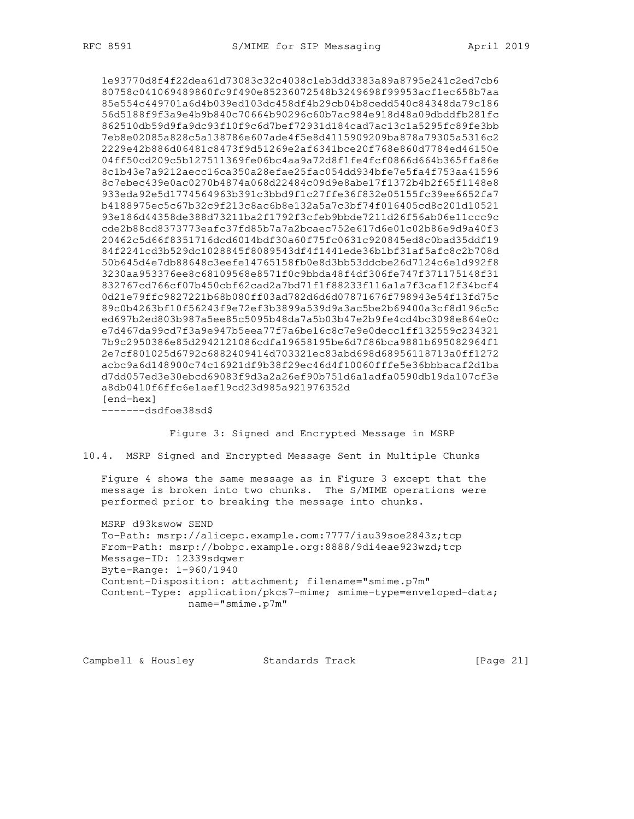1e93770d8f4f22dea61d73083c32c4038c1eb3dd3383a89a8795e241c2ed7cb6 80758c041069489860fc9f490e85236072548b3249698f99953acf1ec658b7aa 85e554c449701a6d4b039ed103dc458df4b29cb04b8cedd540c84348da79c186 56d5188f9f3a9e4b9b840c70664b90296c60b7ac984e918d48a09dbddfb281fc 862510db59d9fa9dc93f10f9c6d7bef72931d184cad7ac13c1a5295fc89fe3bb 7eb8e02085a828c5a138786e607ade4f5e8d4115909209ba878a79305a5316c2 2229e42b886d06481c8473f9d51269e2af6341bce20f768e860d7784ed46150e 04ff50cd209c5b127511369fe06bc4aa9a72d8f1fe4fcf0866d664b365ffa86e 8c1b43e7a9212aecc16ca350a28efae25fac054dd934bfe7e5fa4f753aa41596 8c7ebec439e0ac0270b4874a068d22484c09d9e8abe17f1372b4b2f65f1148e8 933eda92e5d1774564963b391c3bbd9f1c27ffe36f832e05155fc39ee6652fa7 b4188975ec5c67b32c9f213c8ac6b8e132a5a7c3bf74f016405cd8c201d10521 93e186d44358de388d73211ba2f1792f3cfeb9bbde7211d26f56ab06e11ccc9c cde2b88cd8373773eafc37fd85b7a7a2bcaec752e617d6e01c02b86e9d9a40f3 20462c5d66f8351716dcd6014bdf30a60f75fc0631c920845ed8c0bad35ddf19 84f2241cd3b529dc1028845f8089543df4f1441ede36b1bf31af5afc8c2b708d 50b645d4e7db88648c3eefe14765158fb0e8d3bb53ddcbe26d7124c6e1d992f8 3230aa953376ee8c68109568e8571f0c9bbda48f4df306fe747f371175148f31 832767cd766cf07b450cbf62cad2a7bd71f1f88233f116a1a7f3caf12f34bcf4 0d21e79ffc9827221b68b080ff03ad782d6d6d07871676f798943e54f13fd75c 89c0b4263bf10f56243f9e72ef3b3899a539d9a3ac5be2b69400a3cf8d196c5c ed697b2ed803b987a5ee85c5095b48da7a5b03b47e2b9fe4cd4bc3098e864e0c e7d467da99cd7f3a9e947b5eea77f7a6be16c8c7e9e0decc1ff132559c234321 7b9c2950386e85d2942121086cdfa19658195be6d7f86bca9881b695082964f1 2e7cf801025d6792c6882409414d703321ec83abd698d68956118713a0ff1272 acbc9a6d148900c74c16921df9b38f29ec46d4f10060fffe5e36bbbacaf2d1ba d7dd057ed3e30ebcd69083f9d3a2a26ef90b751d6a1adfa0590db19da107cf3e a8db0410f6ffc6e1aef19cd23d985a921976352d [end-hex]

-------dsdfoe38sd\$

Figure 3: Signed and Encrypted Message in MSRP

10.4. MSRP Signed and Encrypted Message Sent in Multiple Chunks

 Figure 4 shows the same message as in Figure 3 except that the message is broken into two chunks. The S/MIME operations were performed prior to breaking the message into chunks.

 MSRP d93kswow SEND To-Path: msrp://alicepc.example.com:7777/iau39soe2843z;tcp From-Path: msrp://bobpc.example.org:8888/9di4eae923wzd;tcp Message-ID: 12339sdqwer Byte-Range: 1-960/1940 Content-Disposition: attachment; filename="smime.p7m" Content-Type: application/pkcs7-mime; smime-type=enveloped-data; name="smime.p7m"

Campbell & Housley Standards Track [Page 21]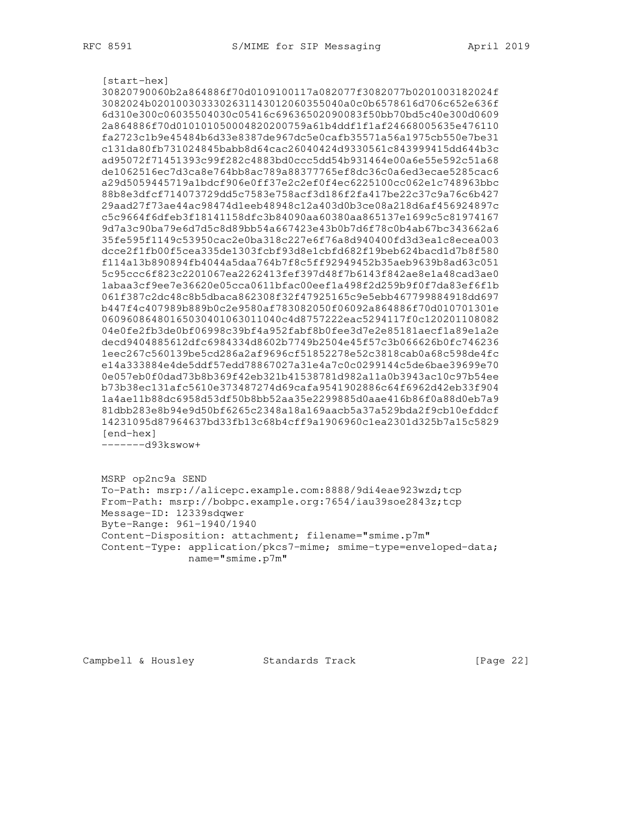[start-hex] 30820790060b2a864886f70d0109100117a082077f3082077b0201003182024f 3082024b0201003033302631143012060355040a0c0b6578616d706c652e636f 6d310e300c06035504030c05416c69636502090083f50bb70bd5c40e300d0609 2a864886f70d010101050004820200759a61b4ddf1f1af24668005635e476110 fa2723c1b9e45484b6d33e8387de967dc5e0cafb35571a56a1975cb550e7be31 c131da80fb731024845babb8d64cac26040424d9330561c843999415dd644b3c ad95072f71451393c99f282c4883bd0ccc5dd54b931464e00a6e55e592c51a68 de1062516ec7d3ca8e764bb8ac789a88377765ef8dc36c0a6ed3ecae5285cac6 a29d5059445719a1bdcf906e0ff37e2c2ef0f4ec6225100cc062e1c748963bbc 88b8e3dfcf714073729dd5c7583e758acf3d186f2fa417be22c37c9a76c6b427 29aad27f73ae44ac98474d1eeb48948c12a403d0b3ce08a218d6af456924897c c5c9664f6dfeb3f18141158dfc3b84090aa60380aa865137e1699c5c81974167 9d7a3c90ba79e6d7d5c8d89bb54a667423e43b0b7d6f78c0b4ab67bc343662a6 35fe595f1149c53950cac2e0ba318c227e6f76a8d940400fd3d3ea1c8ecea003 dcce2f1fb00f5cea335de1303fcbf93d8e1cbfd682f19beb624bacd1d7b8f580 f114a13b890894fb4044a5daa764b7f8c5ff92949452b35aeb9639b8ad63c051 5c95ccc6f823c2201067ea2262413fef397d48f7b6143f842ae8e1a48cad3ae0 1abaa3cf9ee7e36620e05cca0611bfac00eef1a498f2d259b9f0f7da83ef6f1b 061f387c2dc48c8b5dbaca862308f32f47925165c9e5ebb467799884918dd697 b447f4c407989b889b0c2e9580af783082050f06092a864886f70d010701301e 06096086480165030401063011040c4d8757222eac5294117f0c120201108082 04e0fe2fb3de0bf06998c39bf4a952fabf8b0fee3d7e2e85181aecf1a89e1a2e decd9404885612dfc6984334d8602b7749b2504e45f57c3b066626b0fc746236 1eec267c560139be5cd286a2af9696cf51852278e52c3818cab0a68c598de4fc e14a333884e4de5ddf57edd78867027a31e4a7c0c0299144c5de6bae39699e70 0e057eb0f0dad73b8b369f42eb321b41538781d982a11a0b3943ac10c97b54ee b73b38ec131afc5610e373487274d69cafa9541902886c64f6962d42eb33f904 1a4ae11b88dc6958d53df50b8bb52aa35e2299885d0aae416b86f0a88d0eb7a9 81dbb283e8b94e9d50bf6265c2348a18a169aacb5a37a529bda2f9cb10efddcf 14231095d87964637bd33fb13c68b4cff9a1906960c1ea2301d325b7a15c5829 [end-hex]

-------d93kswow+

 MSRP op2nc9a SEND To-Path: msrp://alicepc.example.com:8888/9di4eae923wzd;tcp From-Path: msrp://bobpc.example.org:7654/iau39soe2843z;tcp Message-ID: 12339sdqwer Byte-Range: 961-1940/1940 Content-Disposition: attachment; filename="smime.p7m" Content-Type: application/pkcs7-mime; smime-type=enveloped-data; name="smime.p7m"

Campbell & Housley Standards Track [Page 22]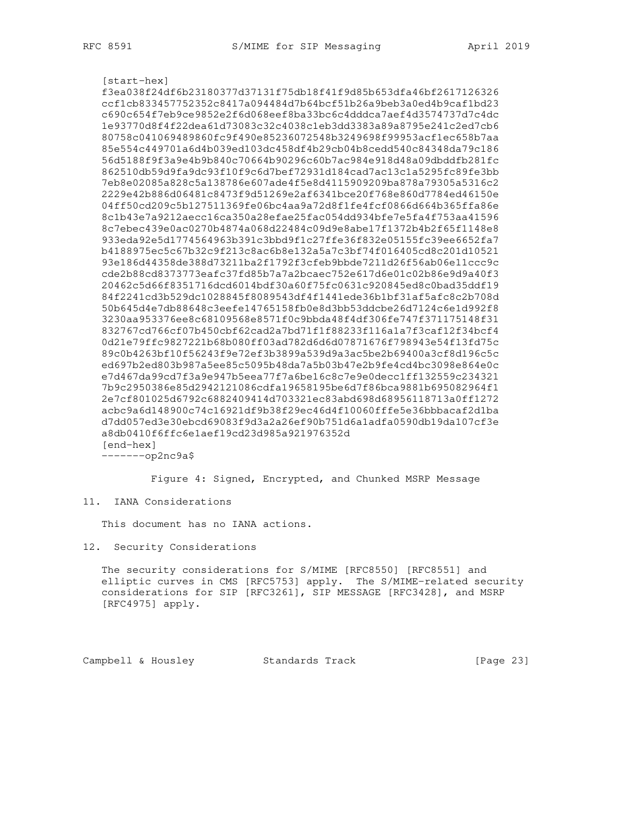[start-hex] f3ea038f24df6b23180377d37131f75db18f41f9d85b653dfa46bf2617126326 ccf1cb833457752352c8417a094484d7b64bcf51b26a9beb3a0ed4b9caf1bd23 c690c654f7eb9ce9852e2f6d068eef8ba33bc6c4dddca7aef4d3574737d7c4dc 1e93770d8f4f22dea61d73083c32c4038c1eb3dd3383a89a8795e241c2ed7cb6 80758c041069489860fc9f490e85236072548b3249698f99953acf1ec658b7aa 85e554c449701a6d4b039ed103dc458df4b29cb04b8cedd540c84348da79c186 56d5188f9f3a9e4b9b840c70664b90296c60b7ac984e918d48a09dbddfb281fc 862510db59d9fa9dc93f10f9c6d7bef72931d184cad7ac13c1a5295fc89fe3bb 7eb8e02085a828c5a138786e607ade4f5e8d4115909209ba878a79305a5316c2 2229e42b886d06481c8473f9d51269e2af6341bce20f768e860d7784ed46150e 04ff50cd209c5b127511369fe06bc4aa9a72d8f1fe4fcf0866d664b365ffa86e 8c1b43e7a9212aecc16ca350a28efae25fac054dd934bfe7e5fa4f753aa41596 8c7ebec439e0ac0270b4874a068d22484c09d9e8abe17f1372b4b2f65f1148e8 933eda92e5d1774564963b391c3bbd9f1c27ffe36f832e05155fc39ee6652fa7 b4188975ec5c67b32c9f213c8ac6b8e132a5a7c3bf74f016405cd8c201d10521 93e186d44358de388d73211ba2f1792f3cfeb9bbde7211d26f56ab06e11ccc9c cde2b88cd8373773eafc37fd85b7a7a2bcaec752e617d6e01c02b86e9d9a40f3 20462c5d66f8351716dcd6014bdf30a60f75fc0631c920845ed8c0bad35ddf19 84f2241cd3b529dc1028845f8089543df4f1441ede36b1bf31af5afc8c2b708d 50b645d4e7db88648c3eefe14765158fb0e8d3bb53ddcbe26d7124c6e1d992f8 3230aa953376ee8c68109568e8571f0c9bbda48f4df306fe747f371175148f31 832767cd766cf07b450cbf62cad2a7bd71f1f88233f116a1a7f3caf12f34bcf4 0d21e79ffc9827221b68b080ff03ad782d6d6d07871676f798943e54f13fd75c 89c0b4263bf10f56243f9e72ef3b3899a539d9a3ac5be2b69400a3cf8d196c5c ed697b2ed803b987a5ee85c5095b48da7a5b03b47e2b9fe4cd4bc3098e864e0c e7d467da99cd7f3a9e947b5eea77f7a6be16c8c7e9e0decc1ff132559c234321 7b9c2950386e85d2942121086cdfa19658195be6d7f86bca9881b695082964f1 2e7cf801025d6792c6882409414d703321ec83abd698d68956118713a0ff1272 acbc9a6d148900c74c16921df9b38f29ec46d4f10060fffe5e36bbbacaf2d1ba d7dd057ed3e30ebcd69083f9d3a2a26ef90b751d6a1adfa0590db19da107cf3e a8db0410f6ffc6e1aef19cd23d985a921976352d [end-hex] -------op2nc9a\$

Figure 4: Signed, Encrypted, and Chunked MSRP Message

#### 11. IANA Considerations

This document has no IANA actions.

12. Security Considerations

 The security considerations for S/MIME [RFC8550] [RFC8551] and elliptic curves in CMS [RFC5753] apply. The S/MIME-related security considerations for SIP [RFC3261], SIP MESSAGE [RFC3428], and MSRP [RFC4975] apply.

Campbell & Housley Standards Track [Page 23]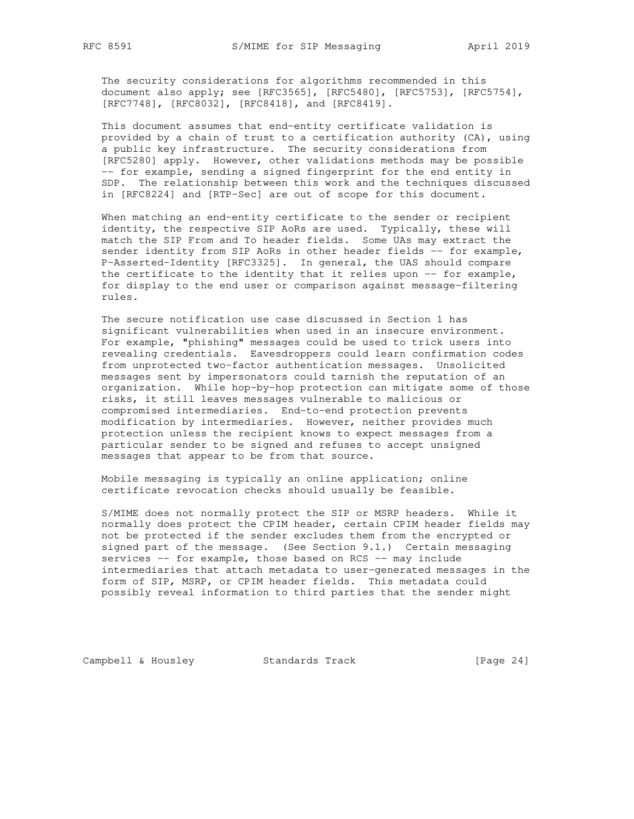The security considerations for algorithms recommended in this document also apply; see [RFC3565], [RFC5480], [RFC5753], [RFC5754], [RFC7748], [RFC8032], [RFC8418], and [RFC8419].

 This document assumes that end-entity certificate validation is provided by a chain of trust to a certification authority (CA), using a public key infrastructure. The security considerations from [RFC5280] apply. However, other validations methods may be possible -- for example, sending a signed fingerprint for the end entity in SDP. The relationship between this work and the techniques discussed in [RFC8224] and [RTP-Sec] are out of scope for this document.

 When matching an end-entity certificate to the sender or recipient identity, the respective SIP AoRs are used. Typically, these will match the SIP From and To header fields. Some UAs may extract the sender identity from SIP AoRs in other header fields -- for example, P-Asserted-Identity [RFC3325]. In general, the UAS should compare the certificate to the identity that it relies upon -- for example, for display to the end user or comparison against message-filtering rules.

 The secure notification use case discussed in Section 1 has significant vulnerabilities when used in an insecure environment. For example, "phishing" messages could be used to trick users into revealing credentials. Eavesdroppers could learn confirmation codes from unprotected two-factor authentication messages. Unsolicited messages sent by impersonators could tarnish the reputation of an organization. While hop-by-hop protection can mitigate some of those risks, it still leaves messages vulnerable to malicious or compromised intermediaries. End-to-end protection prevents modification by intermediaries. However, neither provides much protection unless the recipient knows to expect messages from a particular sender to be signed and refuses to accept unsigned messages that appear to be from that source.

 Mobile messaging is typically an online application; online certificate revocation checks should usually be feasible.

 S/MIME does not normally protect the SIP or MSRP headers. While it normally does protect the CPIM header, certain CPIM header fields may not be protected if the sender excludes them from the encrypted or signed part of the message. (See Section 9.1.) Certain messaging services -- for example, those based on RCS -- may include intermediaries that attach metadata to user-generated messages in the form of SIP, MSRP, or CPIM header fields. This metadata could possibly reveal information to third parties that the sender might

Campbell & Housley Standards Track [Page 24]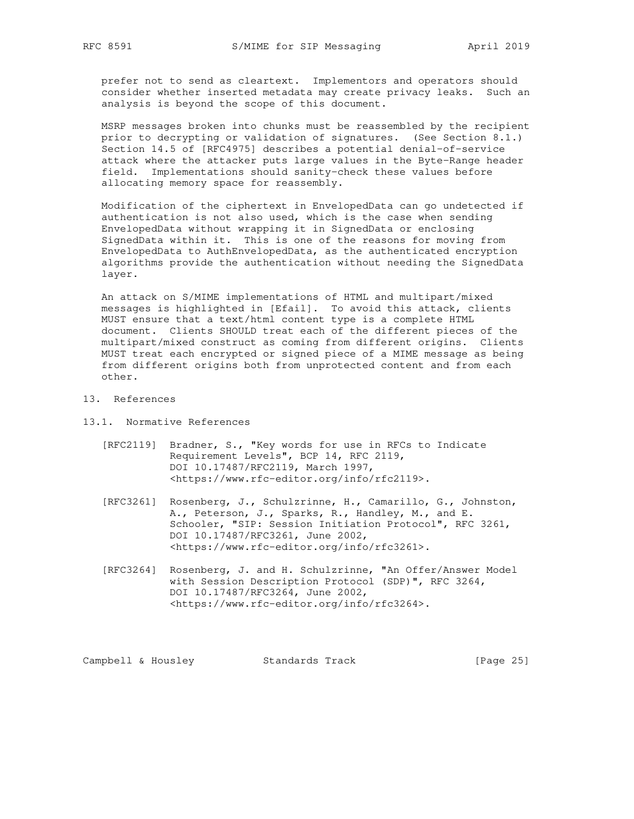prefer not to send as cleartext. Implementors and operators should consider whether inserted metadata may create privacy leaks. Such an analysis is beyond the scope of this document.

 MSRP messages broken into chunks must be reassembled by the recipient prior to decrypting or validation of signatures. (See Section 8.1.) Section 14.5 of [RFC4975] describes a potential denial-of-service attack where the attacker puts large values in the Byte-Range header field. Implementations should sanity-check these values before allocating memory space for reassembly.

 Modification of the ciphertext in EnvelopedData can go undetected if authentication is not also used, which is the case when sending EnvelopedData without wrapping it in SignedData or enclosing SignedData within it. This is one of the reasons for moving from EnvelopedData to AuthEnvelopedData, as the authenticated encryption algorithms provide the authentication without needing the SignedData layer.

 An attack on S/MIME implementations of HTML and multipart/mixed messages is highlighted in [Efail]. To avoid this attack, clients MUST ensure that a text/html content type is a complete HTML document. Clients SHOULD treat each of the different pieces of the multipart/mixed construct as coming from different origins. Clients MUST treat each encrypted or signed piece of a MIME message as being from different origins both from unprotected content and from each other.

13. References

13.1. Normative References

- [RFC2119] Bradner, S., "Key words for use in RFCs to Indicate Requirement Levels", BCP 14, RFC 2119, DOI 10.17487/RFC2119, March 1997, <https://www.rfc-editor.org/info/rfc2119>.
- [RFC3261] Rosenberg, J., Schulzrinne, H., Camarillo, G., Johnston, A., Peterson, J., Sparks, R., Handley, M., and E. Schooler, "SIP: Session Initiation Protocol", RFC 3261, DOI 10.17487/RFC3261, June 2002, <https://www.rfc-editor.org/info/rfc3261>.
- [RFC3264] Rosenberg, J. and H. Schulzrinne, "An Offer/Answer Model with Session Description Protocol (SDP)", RFC 3264, DOI 10.17487/RFC3264, June 2002, <https://www.rfc-editor.org/info/rfc3264>.

Campbell & Housley Standards Track [Page 25]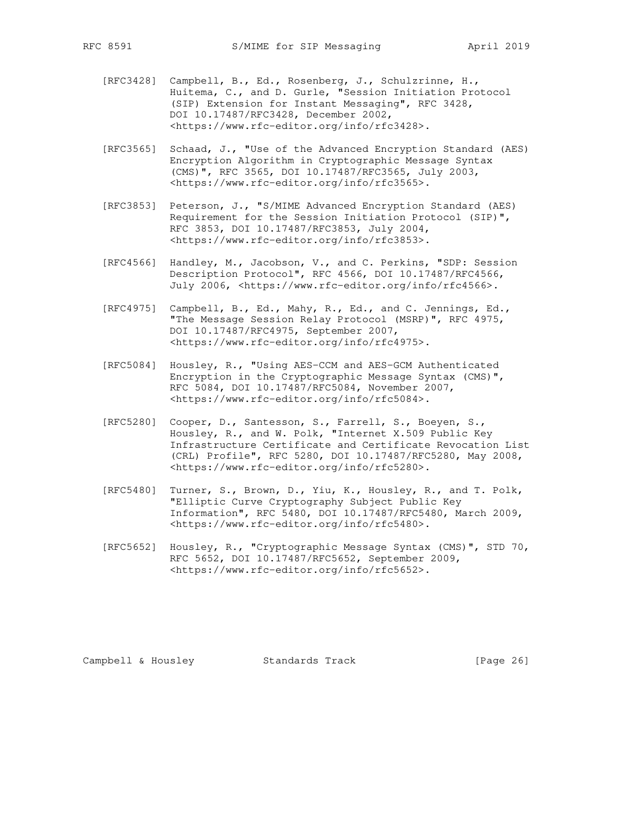- [RFC3428] Campbell, B., Ed., Rosenberg, J., Schulzrinne, H., Huitema, C., and D. Gurle, "Session Initiation Protocol (SIP) Extension for Instant Messaging", RFC 3428, DOI 10.17487/RFC3428, December 2002, <https://www.rfc-editor.org/info/rfc3428>.
	- [RFC3565] Schaad, J., "Use of the Advanced Encryption Standard (AES) Encryption Algorithm in Cryptographic Message Syntax (CMS)", RFC 3565, DOI 10.17487/RFC3565, July 2003, <https://www.rfc-editor.org/info/rfc3565>.
	- [RFC3853] Peterson, J., "S/MIME Advanced Encryption Standard (AES) Requirement for the Session Initiation Protocol (SIP)", RFC 3853, DOI 10.17487/RFC3853, July 2004, <https://www.rfc-editor.org/info/rfc3853>.
	- [RFC4566] Handley, M., Jacobson, V., and C. Perkins, "SDP: Session Description Protocol", RFC 4566, DOI 10.17487/RFC4566, July 2006, <https://www.rfc-editor.org/info/rfc4566>.
	- [RFC4975] Campbell, B., Ed., Mahy, R., Ed., and C. Jennings, Ed., "The Message Session Relay Protocol (MSRP)", RFC 4975, DOI 10.17487/RFC4975, September 2007, <https://www.rfc-editor.org/info/rfc4975>.
	- [RFC5084] Housley, R., "Using AES-CCM and AES-GCM Authenticated Encryption in the Cryptographic Message Syntax (CMS)", RFC 5084, DOI 10.17487/RFC5084, November 2007, <https://www.rfc-editor.org/info/rfc5084>.
	- [RFC5280] Cooper, D., Santesson, S., Farrell, S., Boeyen, S., Housley, R., and W. Polk, "Internet X.509 Public Key Infrastructure Certificate and Certificate Revocation List (CRL) Profile", RFC 5280, DOI 10.17487/RFC5280, May 2008, <https://www.rfc-editor.org/info/rfc5280>.
	- [RFC5480] Turner, S., Brown, D., Yiu, K., Housley, R., and T. Polk, "Elliptic Curve Cryptography Subject Public Key Information", RFC 5480, DOI 10.17487/RFC5480, March 2009, <https://www.rfc-editor.org/info/rfc5480>.
	- [RFC5652] Housley, R., "Cryptographic Message Syntax (CMS)", STD 70, RFC 5652, DOI 10.17487/RFC5652, September 2009, <https://www.rfc-editor.org/info/rfc5652>.

Campbell & Housley Standards Track [Page 26]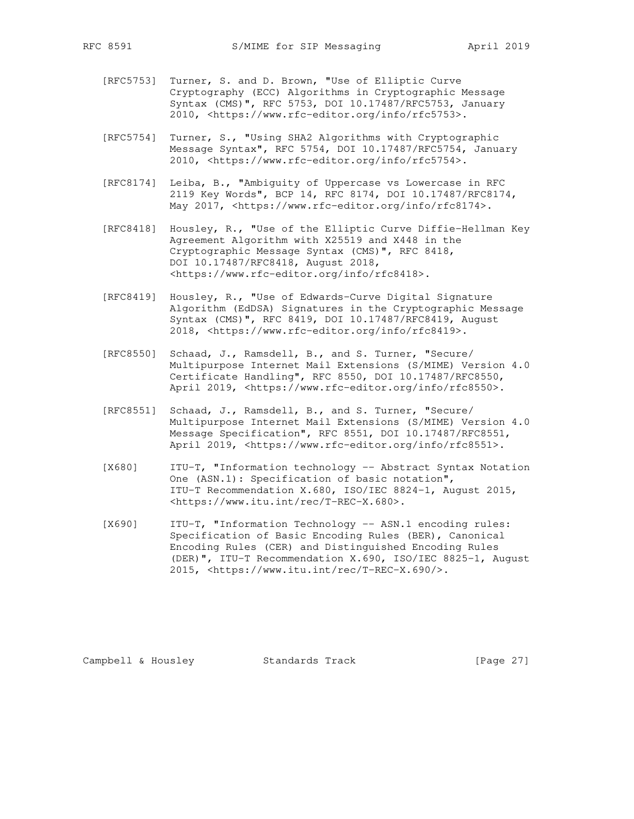- [RFC5753] Turner, S. and D. Brown, "Use of Elliptic Curve Cryptography (ECC) Algorithms in Cryptographic Message Syntax (CMS)", RFC 5753, DOI 10.17487/RFC5753, January 2010, <https://www.rfc-editor.org/info/rfc5753>.
- [RFC5754] Turner, S., "Using SHA2 Algorithms with Cryptographic Message Syntax", RFC 5754, DOI 10.17487/RFC5754, January 2010, <https://www.rfc-editor.org/info/rfc5754>.
- [RFC8174] Leiba, B., "Ambiguity of Uppercase vs Lowercase in RFC 2119 Key Words", BCP 14, RFC 8174, DOI 10.17487/RFC8174, May 2017, <https://www.rfc-editor.org/info/rfc8174>.
- [RFC8418] Housley, R., "Use of the Elliptic Curve Diffie-Hellman Key Agreement Algorithm with X25519 and X448 in the Cryptographic Message Syntax (CMS)", RFC 8418, DOI 10.17487/RFC8418, August 2018, <https://www.rfc-editor.org/info/rfc8418>.
- [RFC8419] Housley, R., "Use of Edwards-Curve Digital Signature Algorithm (EdDSA) Signatures in the Cryptographic Message Syntax (CMS)", RFC 8419, DOI 10.17487/RFC8419, August 2018, <https://www.rfc-editor.org/info/rfc8419>.
- [RFC8550] Schaad, J., Ramsdell, B., and S. Turner, "Secure/ Multipurpose Internet Mail Extensions (S/MIME) Version 4.0 Certificate Handling", RFC 8550, DOI 10.17487/RFC8550, April 2019, <https://www.rfc-editor.org/info/rfc8550>.
- [RFC8551] Schaad, J., Ramsdell, B., and S. Turner, "Secure/ Multipurpose Internet Mail Extensions (S/MIME) Version 4.0 Message Specification", RFC 8551, DOI 10.17487/RFC8551, April 2019, <https://www.rfc-editor.org/info/rfc8551>.
- [X680] ITU-T, "Information technology -- Abstract Syntax Notation One (ASN.1): Specification of basic notation", ITU-T Recommendation X.680, ISO/IEC 8824-1, August 2015, <https://www.itu.int/rec/T-REC-X.680>.
- [X690] ITU-T, "Information Technology -- ASN.1 encoding rules: Specification of Basic Encoding Rules (BER), Canonical Encoding Rules (CER) and Distinguished Encoding Rules (DER)", ITU-T Recommendation X.690, ISO/IEC 8825-1, August 2015, <https://www.itu.int/rec/T-REC-X.690/>.

Campbell & Housley Standards Track [Page 27]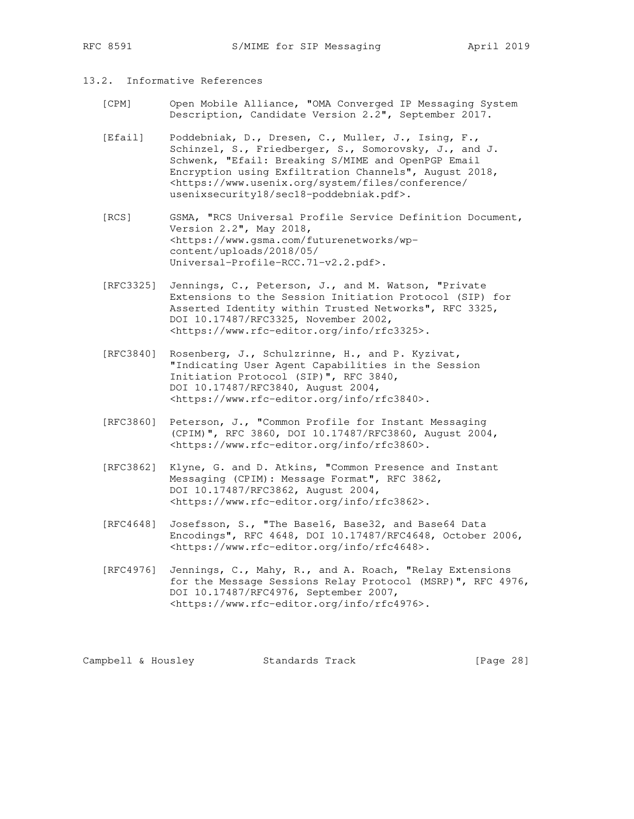## 13.2. Informative References

- [CPM] Open Mobile Alliance, "OMA Converged IP Messaging System Description, Candidate Version 2.2", September 2017.
- [Efail] Poddebniak, D., Dresen, C., Muller, J., Ising, F., Schinzel, S., Friedberger, S., Somorovsky, J., and J. Schwenk, "Efail: Breaking S/MIME and OpenPGP Email Encryption using Exfiltration Channels", August 2018, <https://www.usenix.org/system/files/conference/ usenixsecurity18/sec18-poddebniak.pdf>.
- [RCS] GSMA, "RCS Universal Profile Service Definition Document, Version 2.2", May 2018, <https://www.gsma.com/futurenetworks/wp content/uploads/2018/05/ Universal-Profile-RCC.71-v2.2.pdf>.
- [RFC3325] Jennings, C., Peterson, J., and M. Watson, "Private Extensions to the Session Initiation Protocol (SIP) for Asserted Identity within Trusted Networks", RFC 3325, DOI 10.17487/RFC3325, November 2002, <https://www.rfc-editor.org/info/rfc3325>.
- [RFC3840] Rosenberg, J., Schulzrinne, H., and P. Kyzivat, "Indicating User Agent Capabilities in the Session Initiation Protocol (SIP)", RFC 3840, DOI 10.17487/RFC3840, August 2004, <https://www.rfc-editor.org/info/rfc3840>.
- [RFC3860] Peterson, J., "Common Profile for Instant Messaging (CPIM)", RFC 3860, DOI 10.17487/RFC3860, August 2004, <https://www.rfc-editor.org/info/rfc3860>.
- [RFC3862] Klyne, G. and D. Atkins, "Common Presence and Instant Messaging (CPIM): Message Format", RFC 3862, DOI 10.17487/RFC3862, August 2004, <https://www.rfc-editor.org/info/rfc3862>.
- [RFC4648] Josefsson, S., "The Base16, Base32, and Base64 Data Encodings", RFC 4648, DOI 10.17487/RFC4648, October 2006, <https://www.rfc-editor.org/info/rfc4648>.
- [RFC4976] Jennings, C., Mahy, R., and A. Roach, "Relay Extensions for the Message Sessions Relay Protocol (MSRP)", RFC 4976, DOI 10.17487/RFC4976, September 2007, <https://www.rfc-editor.org/info/rfc4976>.

Campbell & Housley Standards Track [Page 28]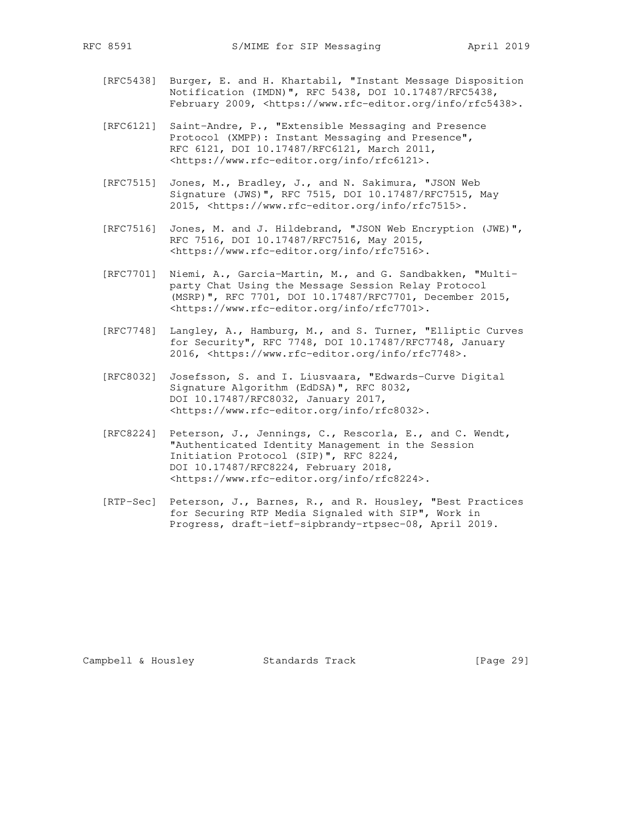- [RFC5438] Burger, E. and H. Khartabil, "Instant Message Disposition Notification (IMDN)", RFC 5438, DOI 10.17487/RFC5438, February 2009, <https://www.rfc-editor.org/info/rfc5438>.
- [RFC6121] Saint-Andre, P., "Extensible Messaging and Presence Protocol (XMPP): Instant Messaging and Presence", RFC 6121, DOI 10.17487/RFC6121, March 2011, <https://www.rfc-editor.org/info/rfc6121>.
- [RFC7515] Jones, M., Bradley, J., and N. Sakimura, "JSON Web Signature (JWS)", RFC 7515, DOI 10.17487/RFC7515, May 2015, <https://www.rfc-editor.org/info/rfc7515>.
- [RFC7516] Jones, M. and J. Hildebrand, "JSON Web Encryption (JWE)", RFC 7516, DOI 10.17487/RFC7516, May 2015, <https://www.rfc-editor.org/info/rfc7516>.
- [RFC7701] Niemi, A., Garcia-Martin, M., and G. Sandbakken, "Multi party Chat Using the Message Session Relay Protocol (MSRP)", RFC 7701, DOI 10.17487/RFC7701, December 2015, <https://www.rfc-editor.org/info/rfc7701>.
- [RFC7748] Langley, A., Hamburg, M., and S. Turner, "Elliptic Curves for Security", RFC 7748, DOI 10.17487/RFC7748, January 2016, <https://www.rfc-editor.org/info/rfc7748>.
- [RFC8032] Josefsson, S. and I. Liusvaara, "Edwards-Curve Digital Signature Algorithm (EdDSA)", RFC 8032, DOI 10.17487/RFC8032, January 2017, <https://www.rfc-editor.org/info/rfc8032>.
- [RFC8224] Peterson, J., Jennings, C., Rescorla, E., and C. Wendt, "Authenticated Identity Management in the Session Initiation Protocol (SIP)", RFC 8224, DOI 10.17487/RFC8224, February 2018, <https://www.rfc-editor.org/info/rfc8224>.
- [RTP-Sec] Peterson, J., Barnes, R., and R. Housley, "Best Practices for Securing RTP Media Signaled with SIP", Work in Progress, draft-ietf-sipbrandy-rtpsec-08, April 2019.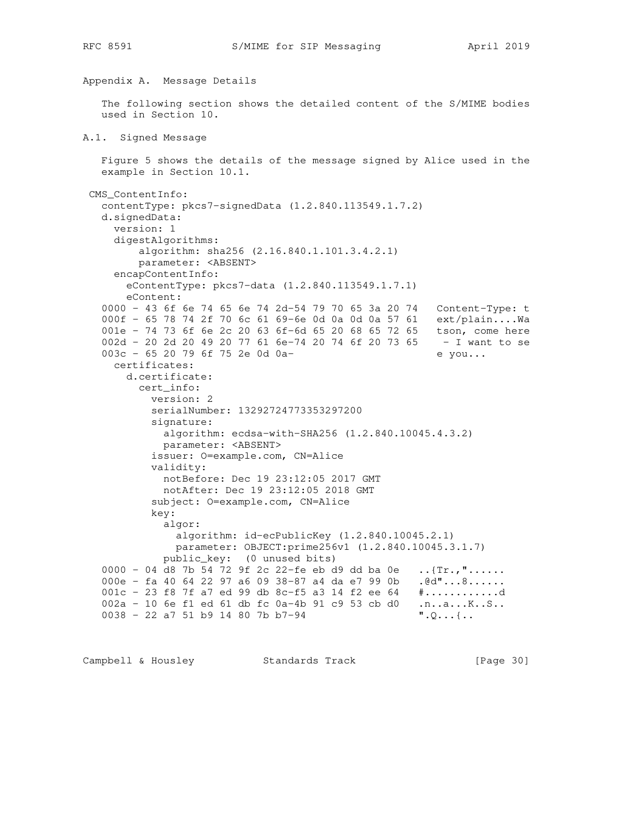```
Appendix A. Message Details
    The following section shows the detailed content of the S/MIME bodies
   used in Section 10.
A.1. Signed Message
   Figure 5 shows the details of the message signed by Alice used in the
   example in Section 10.1.
 CMS_ContentInfo:
    contentType: pkcs7-signedData (1.2.840.113549.1.7.2)
    d.signedData:
     version: 1
     digestAlgorithms:
         algorithm: sha256 (2.16.840.1.101.3.4.2.1)
         parameter: <ABSENT>
     encapContentInfo:
       eContentType: pkcs7-data (1.2.840.113549.1.7.1)
       eContent:
    0000 - 43 6f 6e 74 65 6e 74 2d-54 79 70 65 3a 20 74 Content-Type: t
    000f - 65 78 74 2f 70 6c 61 69-6e 0d 0a 0d 0a 57 61 ext/plain....Wa
001e - 74 73 6f 6e 2c 20 63 6f-6d 65 20 68 65 72 65 tson, come here
 002d - 20 2d 20 49 20 77 61 6e-74 20 74 6f 20 73 65 - I want to se
   003c - 65 20 79 6f 75 2e 0d 0a- e you...
      certificates:
       d.certificate:
         cert_info:
           version: 2
           serialNumber: 13292724773353297200
           signature:
            algorithm: ecdsa-with-SHA256 (1.2.840.10045.4.3.2)
            parameter: <ABSENT>
           issuer: O=example.com, CN=Alice
           validity:
             notBefore: Dec 19 23:12:05 2017 GMT
             notAfter: Dec 19 23:12:05 2018 GMT
           subject: O=example.com, CN=Alice
           key:
             algor:
               algorithm: id-ecPublicKey (1.2.840.10045.2.1)
               parameter: OBJECT:prime256v1 (1.2.840.10045.3.1.7)
             public_key: (0 unused bits)
   0000 - 04 d8 7b 54 72 9f 2c 22-fe eb d9 dd ba 0e \ldots{Tr.,"......
   000e - fa 40 64 22 97 a6 09 38-87 a4 da e7 99 0b .@d"...8......
   001c - 23 f8 7f a7 ed 99 db 8c-f5 a3 14 f2 ee 64 \#..............d
   002a - 10 6e f1 ed 61 db fc 0a-4b 91 c9 53 cb d0 .n..a...K..S..
    0038 - 22 a7 51 b9 14 80 7b b7-94 ".Q...{..
Campbell & Housley Standards Track [Page 30]
```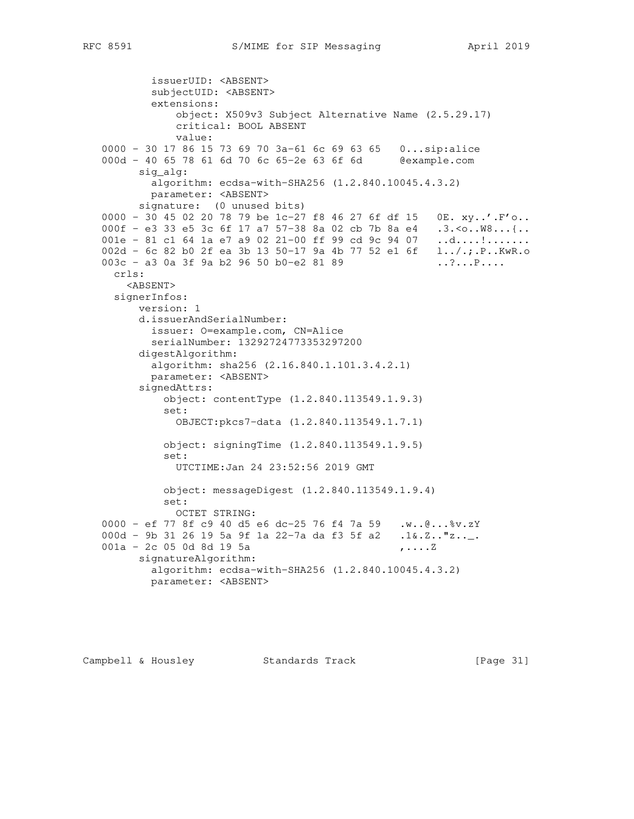```
 issuerUID: <ABSENT>
           subjectUID: <ABSENT>
           extensions:
               object: X509v3 Subject Alternative Name (2.5.29.17)
               critical: BOOL ABSENT
               value:
   0000 - 30 17 86 15 73 69 70 3a-61 6c 69 63 65 0...sip:alice
   000d - 40 65 78 61 6d 70 6c 65-2e 63 6f 6d @example.com
         sig_alg:
           algorithm: ecdsa-with-SHA256 (1.2.840.10045.4.3.2)
           parameter: <ABSENT>
         signature: (0 unused bits)
   0000 - 30 45 02 20 78 79 be 1c-27 f8 46 27 6f df 15 0E. xy..'.F'o..
 000f - e3 33 e5 3c 6f 17 a7 57-38 8a 02 cb 7b 8a e4 .3.<o..W8...{..
001e - 81 c1 64 1a e7 a9 02 21-00 ff 99 cd 9c 94 07 .d....!.......
   002d - 6c 82 b0 2f ea 3b 13 50-17 9a 4b 77 52 e1 6f l../.;.P..KwR.o
  003c - a3 0a 3f 9a b2 96 50 b0-e2 81 89 ...?...P....
     crls:
       <ABSENT>
     signerInfos:
         version: 1
         d.issuerAndSerialNumber:
           issuer: O=example.com, CN=Alice
           serialNumber: 13292724773353297200
         digestAlgorithm:
           algorithm: sha256 (2.16.840.1.101.3.4.2.1)
           parameter: <ABSENT>
         signedAttrs:
             object: contentType (1.2.840.113549.1.9.3)
             set:
               OBJECT:pkcs7-data (1.2.840.113549.1.7.1)
             object: signingTime (1.2.840.113549.1.9.5)
             set:
               UTCTIME:Jan 24 23:52:56 2019 GMT
             object: messageDigest (1.2.840.113549.1.9.4)
             set:
               OCTET STRING:
   0000 - ef 77 8f c9 40 d5 e6 dc-25 76 f4 7a 59 .w..@...%v.zY
  000d - 9b 31 26 19 5a 9f 1a 22-7a da f3 5f a2 .1&.Z.."z.._.
  001a - 2c 05 0d 8d 19 5a \ldots , .... Z
         signatureAlgorithm:
           algorithm: ecdsa-with-SHA256 (1.2.840.10045.4.3.2)
           parameter: <ABSENT>
```
Campbell & Housley Standards Track [Page 31]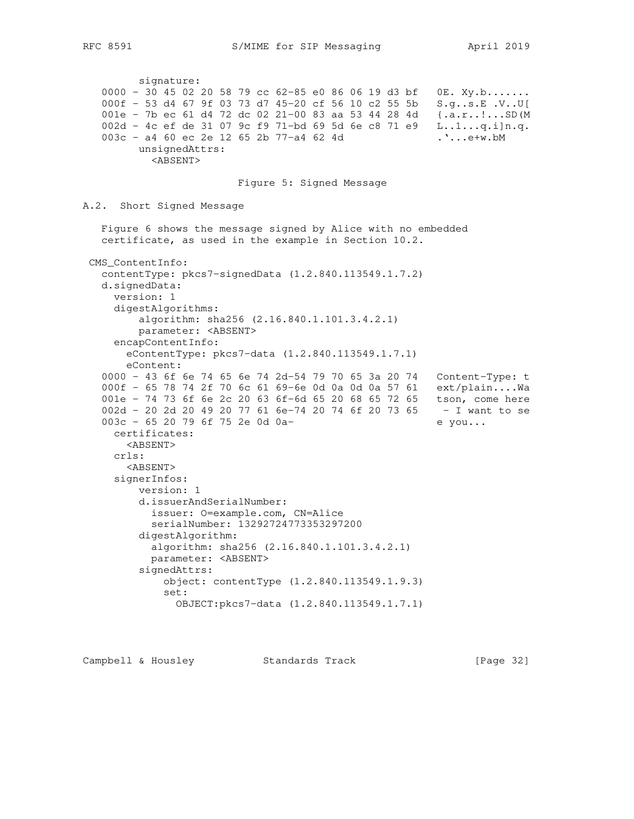signature: 0000 - 30 45 02 20 58 79 cc 62-85 e0 86 06 19 d3 bf 0E. Xy.b....... 000f - 53 d4 67 9f 03 73 d7 45-20 cf 56 10 c2 55 5b S.g..s.E .V..U[ 001e - 7b ec 61 d4 72 dc 02 21-00 83 aa 53 44 28 4d {.a.r..!...SD(M 002d - 4c ef de 31 07 9c f9 71-bd 69 5d 6e c8 71 e9 L..1...q.i]n.q. 003c - a4 60 ec 2e 12 65 2b 77-a4 62 4d ....e+w.bM unsignedAttrs: <ABSENT> Figure 5: Signed Message A.2. Short Signed Message Figure 6 shows the message signed by Alice with no embedded certificate, as used in the example in Section 10.2. CMS\_ContentInfo: contentType: pkcs7-signedData (1.2.840.113549.1.7.2) d.signedData: version: 1 digestAlgorithms: algorithm: sha256 (2.16.840.1.101.3.4.2.1) parameter: <ABSENT> encapContentInfo: eContentType: pkcs7-data (1.2.840.113549.1.7.1) eContent: 0000 - 43 6f 6e 74 65 6e 74 2d-54 79 70 65 3a 20 74 Content-Type: t 000f - 65 78 74 2f 70 6c 61 69-6e 0d 0a 0d 0a 57 61 ext/plain....Wa 001e - 74 73 6f 6e 2c 20 63 6f-6d 65 20 68 65 72 65 tson, come here 002d - 20 2d 20 49 20 77 61 6e-74 20 74 6f 20 73 65 - I want to se 003c - 65 20 79 6f 75 2e 0d 0a-<br>
e you... certificates: <ABSENT> crls: <ABSENT> signerInfos: version: 1 d.issuerAndSerialNumber: issuer: O=example.com, CN=Alice serialNumber: 13292724773353297200 digestAlgorithm: algorithm: sha256 (2.16.840.1.101.3.4.2.1) parameter: <ABSENT> signedAttrs: object: contentType (1.2.840.113549.1.9.3) set: OBJECT:pkcs7-data (1.2.840.113549.1.7.1)

Campbell & Housley Standards Track [Page 32]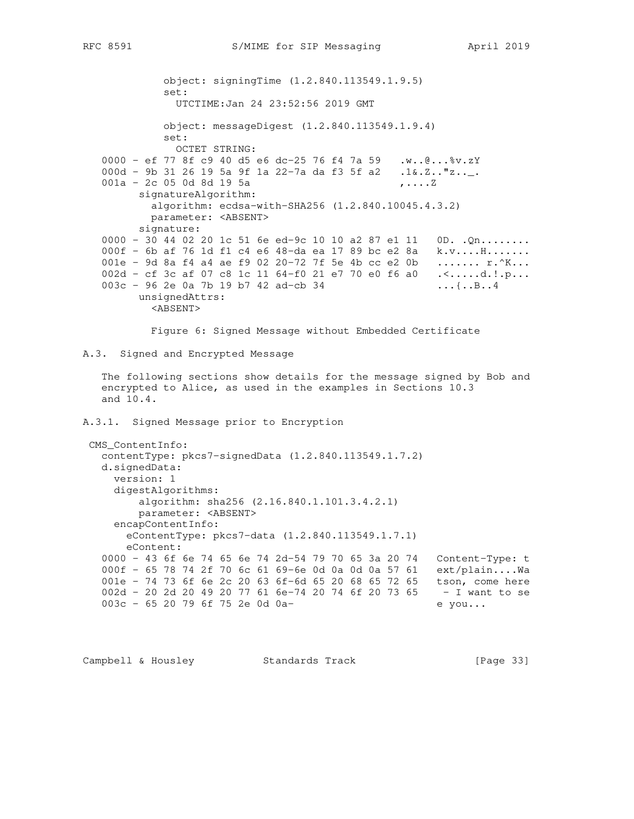```
 object: signingTime (1.2.840.113549.1.9.5)
             set:
               UTCTIME:Jan 24 23:52:56 2019 GMT
             object: messageDigest (1.2.840.113549.1.9.4)
             set:
               OCTET STRING:
    0000 - ef 77 8f c9 40 d5 e6 dc-25 76 f4 7a 59 .w..@...%v.zY
   000d - 9b 31 26 19 5a 9f 1a 22-7a da f3 5f a2 .1&.Z.."z.._.
   001a - 2c 05 0d 8d 19 5a,.....Z
         signatureAlgorithm:
           algorithm: ecdsa-with-SHA256 (1.2.840.10045.4.3.2)
           parameter: <ABSENT>
         signature:
   0000 - 30 44 02 20 1c 51 6e ed-9c 10 10 a2 87 e1 11 0D. .Qn........
   000f - 6b af 76 1d f1 c4 e6 48-da ea 17 89 bc e2 8a k.v....H........
   001e - 9d 8a f4 a4 ae f9 02 20-72 7f 5e 4b cc e2 0b ....... r.^K...
   002d - cf 3c af 07 c8 1c 11 64-f0 21 e7 70 e0 f6 a0 .<.....d.!.p...
   003c - 96 2e 0a 7b 19 b7 42 ad-cb 34 ...{..B..4
         unsignedAttrs:
           <ABSENT>
           Figure 6: Signed Message without Embedded Certificate
A.3. Signed and Encrypted Message
    The following sections show details for the message signed by Bob and
    encrypted to Alice, as used in the examples in Sections 10.3
    and 10.4.
A.3.1. Signed Message prior to Encryption
  CMS_ContentInfo:
   contentType: pkcs7-signedData (1.2.840.113549.1.7.2)
   d.signedData:
     version: 1
     digestAlgorithms:
         algorithm: sha256 (2.16.840.1.101.3.4.2.1)
         parameter: <ABSENT>
      encapContentInfo:
       eContentType: pkcs7-data (1.2.840.113549.1.7.1)
       eContent:
    0000 - 43 6f 6e 74 65 6e 74 2d-54 79 70 65 3a 20 74 Content-Type: t
    000f - 65 78 74 2f 70 6c 61 69-6e 0d 0a 0d 0a 57 61 ext/plain....Wa
   001e - 74 73 6f 6e 2c 20 63 6f-6d 65 20 68 65 72 65 tson, come here
    002d - 20 2d 20 49 20 77 61 6e-74 20 74 6f 20 73 65 - I want to se
   003c - 65 20 79 6f 75 2e 0d 0a- e you...
```
Campbell & Housley Standards Track [Page 33]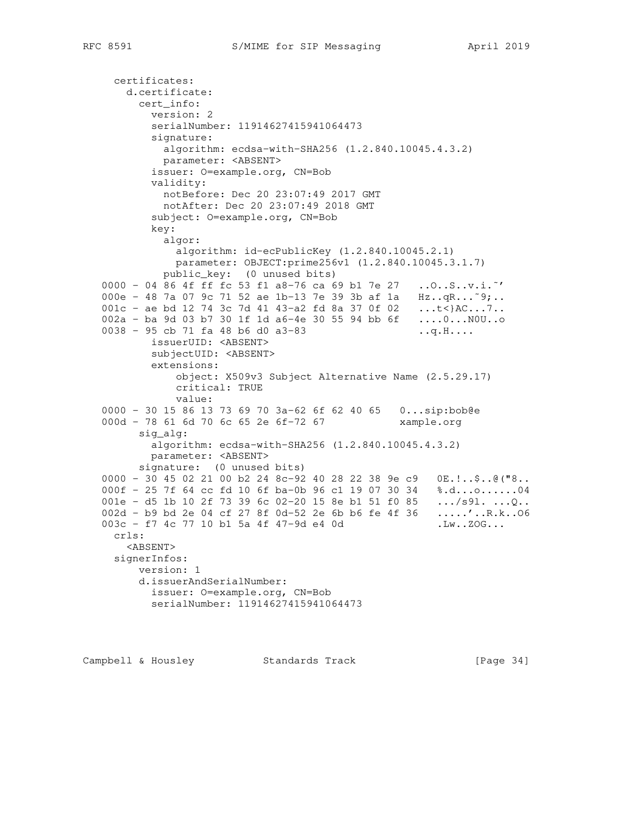```
 certificates:
       d.certificate:
         cert_info:
           version: 2
           serialNumber: 11914627415941064473
           signature:
            algorithm: ecdsa-with-SHA256 (1.2.840.10045.4.3.2)
            parameter: <ABSENT>
           issuer: O=example.org, CN=Bob
           validity:
             notBefore: Dec 20 23:07:49 2017 GMT
             notAfter: Dec 20 23:07:49 2018 GMT
           subject: O=example.org, CN=Bob
           key:
             algor:
               algorithm: id-ecPublicKey (1.2.840.10045.2.1)
               parameter: OBJECT:prime256v1 (1.2.840.10045.3.1.7)
             public_key: (0 unused bits)
   0000 - 04 86 4f ff fc 53 f1 a8-76 ca 69 b1 7e 27 ..O..S..v.i.˜'
  000e - 48 7a 07 9c 71 52 ae 1b-13 7e 39 3b af 1a Hz..qR...~9;..
  001c - ae bd 12 74 3c 7d 41 43-a2 fd 8a 37 0f 02 ...t<}AC...7..
   002a - ba 9d 03 b7 30 1f 1d a6-4e 30 55 94 bb 6f ....0...N0U..o
  0038 - 95 cb 71 fa 48 b6 d0 a3-83 ..q.H....
           issuerUID: <ABSENT>
           subjectUID: <ABSENT>
           extensions:
               object: X509v3 Subject Alternative Name (2.5.29.17)
               critical: TRUE
               value:
   0000 - 30 15 86 13 73 69 70 3a-62 6f 62 40 65 0...sip:bob@e
  000d - 78 61 6d 70 6c 65 2e 6f-72 67 xample.org
         sig_alg:
           algorithm: ecdsa-with-SHA256 (1.2.840.10045.4.3.2)
           parameter: <ABSENT>
         signature: (0 unused bits)
   0000 - 30 45 02 21 00 b2 24 8c-92 40 28 22 38 9e c9 0E.!..$..@("8..
   000f - 25 7f 64 cc fd 10 6f ba-0b 96 c1 19 07 30 34 %.d...o......04
001e - d5 1b 10 2f 73 39 6c 02-20 15 8e b1 51 f0 85 \dots/s91. \dotsQ..
 002d - b9 bd 2e 04 cf 27 8f 0d-52 2e 6b b6 fe 4f 36 .....'..R.k..O6
  003c - f7 4c 77 10 b1 5a 4f 47-9d e4 0d .Lw..ZOG...
     crls:
       <ABSENT>
     signerInfos:
         version: 1
         d.issuerAndSerialNumber:
           issuer: O=example.org, CN=Bob
           serialNumber: 11914627415941064473
```
Campbell & Housley Standards Track [Page 34]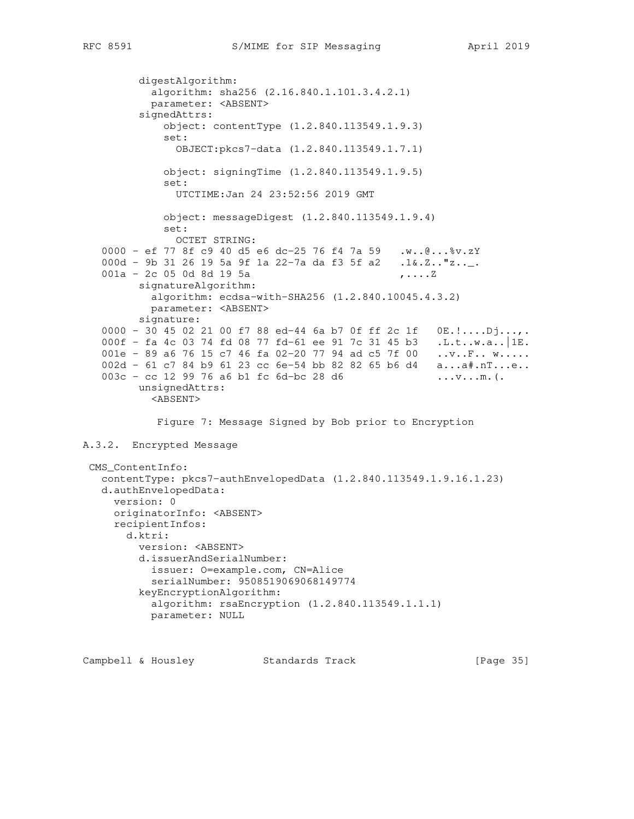```
 digestAlgorithm:
            algorithm: sha256 (2.16.840.1.101.3.4.2.1)
            parameter: <ABSENT>
          signedAttrs:
              object: contentType (1.2.840.113549.1.9.3)
              set:
                OBJECT:pkcs7-data (1.2.840.113549.1.7.1)
              object: signingTime (1.2.840.113549.1.9.5)
              set:
                UTCTIME:Jan 24 23:52:56 2019 GMT
              object: messageDigest (1.2.840.113549.1.9.4)
              set:
               OCTET STRING:
    0000 - ef 77 8f c9 40 d5 e6 dc-25 76 f4 7a 59 .w..@...%v.zY
   000d - 9b 31 26 19 5a 9f 1a 22-7a da f3 5f a2 .1&.Z.."z.._.
   001a - 2c 05 0d 8d 19 5a \ldots , .... Z
          signatureAlgorithm:
           algorithm: ecdsa-with-SHA256 (1.2.840.10045.4.3.2)
           parameter: <ABSENT>
          signature:
   0000 - 30 45 02 21 00 f7 88 ed-44 6a b7 0f ff 2c 1f  0E.!.....Dj...,.
    000f - fa 4c 03 74 fd 08 77 fd-61 ee 91 7c 31 45 b3 .L.t..w.a..|1E.
   001e - 89 a6 76 15 c7 46 fa 02-20 77 94 ad c5 7f 00 ..v..F.. w.....
   002d - 61 c7 84 b9 61 23 cc 6e-54 bb 82 82 65 b6 d4 a...a#.nT...e..
   003c - cc 12 99 76 a6 b1 fc 6d-bc 28 d6 ...v...m.(.
          unsignedAttrs:
            <ABSENT>
             Figure 7: Message Signed by Bob prior to Encryption
A.3.2. Encrypted Message
 CMS_ContentInfo:
    contentType: pkcs7-authEnvelopedData (1.2.840.113549.1.9.16.1.23)
    d.authEnvelopedData:
     version: 0
     originatorInfo: <ABSENT>
     recipientInfos:
       d.ktri:
          version: <ABSENT>
          d.issuerAndSerialNumber:
           issuer: O=example.com, CN=Alice
            serialNumber: 9508519069068149774
          keyEncryptionAlgorithm:
           algorithm: rsaEncryption (1.2.840.113549.1.1.1)
            parameter: NULL
```
Campbell & Housley Standards Track [Page 35]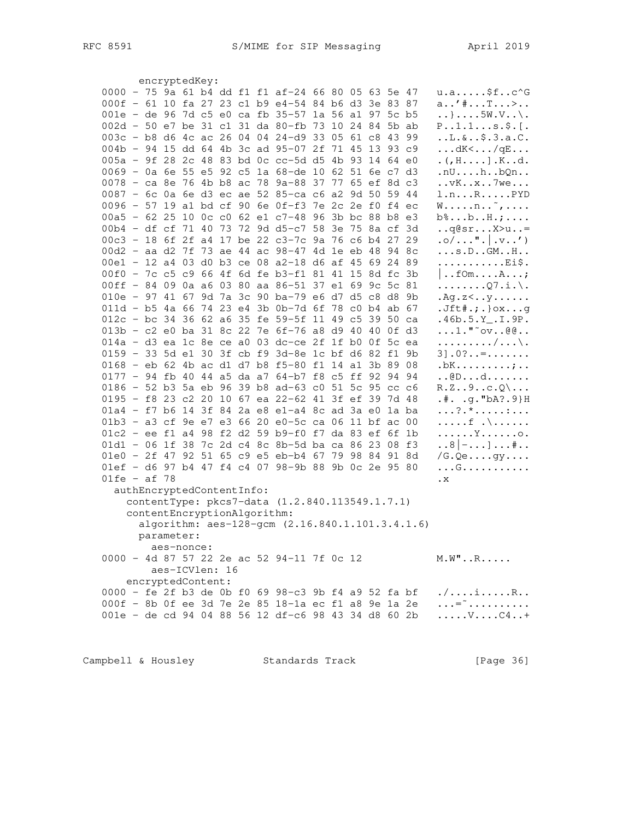| 0000 - 75 9a 61 b4 dd f1 f1 af-24 66 80 05 63 5e 47<br>$u.as f.c^c$<br>000f - 61 10 fa 27 23 c1 b9 e4-54 84 b6 d3 3e 83 87<br>$a'$ $*$ $T$ $>$<br>001e - de 96 7d c5 e0 ca fb 35-57 1a 56 a1 97 5c b5<br>$\ldots$ }5W.V. $\ldots$<br>002d - 50 e7 be 31 c1 31 da 80-fb 73 10 24 84 5b ab<br>$P. .1.1. s.$ \$. [.<br>003c - b8 d6 4c ac 26 04 04 24-d9 33 05 61 c8 43 99<br>.1.6.05.3.a.C.<br>004b - 94 15 dd 64 4b 3c ad 95-07 2f 71 45 13 93 c9<br>$\ldots$ dK< $\ldots$ / qE $\ldots$<br>005a - 9f 28 2c 48 83 bd 0c cc-5d d5 4b 93 14 64 e0<br>$. ($ , $H.$ $]$ . $K.$ .d.<br>0069 - 0a 6e 55 e5 92 c5 1a 68-de 10 62 51 6e c7 d3<br>.nUhbQn<br>0078 - ca 8e 76 4b b8 ac 78 9a-88 37 77 65 ef 8d c3<br>$\ldots$ v $K \ldots x \ldots 7$ we<br>0087 - 6c 0a 6e d3 ec ae 52 85-ca c6 a2 9d 50 59 44<br>l.nRPYD<br>0096 - 57 19 al bd cf 90 6e 0f-f3 7e 2c 2e f0 f4 ec<br>$W \ldots n \ldots$ <sup><math>\ldots</math></sup> ,<br>00a5 - 62 25 10 0c c0 62 e1 c7-48 96 3b bc 88 b8 e3<br>$b\text{\textdegree} \ldots b\ldots H\ldots \ldots$<br>00b4 - df cf 71 40 73 72 9d d5-c7 58 3e 75 8a cf 3d<br>$\ldots$ q@sr $X > u$ =<br>$. \circ / \ldots$ " $.   . \nabla \ldots$ ')<br>00c3 - 18 6f 2f a4 17 be 22 c3-7c 9a 76 c6 b4 27 29<br>00d2 - aa d2 7f 73 ae 44 ac 98-47 4d 1e eb 48 94 8c<br>$\ldots s.D.$ . GMH<br>00e1 - 12 a4 03 d0 b3 ce 08 a2-18 d6 af 45 69 24 89<br>Ei\$.<br>00f0 - 7c c5 c9 66 4f 6d fe b3-f1 81 41 15 8d fc 3b<br>$\vert \ldots$ fom $\ldots$ . $\ldots$ $\ldots$ ;<br>00ff - 84 09 0a a6 03 80 aa 86-51 37 e1 69 9c 5c 81<br>$\ldots \ldots \Omega 7.1. \backslash.$<br>010e - 97 41 67 9d 7a 3c 90 ba-79 e6 d7 d5 c8 d8 9b<br>.Aq.z <y<br>011d - b5 4a 66 74 23 e4 3b 0b-7d 6f 78 c0 b4 ab 67<br/><math>Jft#,;.\}</math>oxg<br/>012c - bc 34 36 62 a6 35 fe 59-5f 11 49 c5 39 50 ca<br/><math>.46b.5.Y_-.I.9P.</math><br/><math>\ldots</math>1."~<math>\circ</math>v@@<br/>013b - c2 e0 ba 31 8c 22 7e 6f-76 a8 d9 40 40 0f d3<br/><math>014a - d3</math> ea 1c 8e ce a0 03 dc-ce 2f 1f b0 0f 5c ea<br/>. / \ .<br/>0159 - 33 5d e1 30 3f cb f9 3d-8e 1c bf d6 82 f1<br/>9b<br/><math>31.0? = </math><br/>0168 - eb 62 4b ac d1 d7 b8 f5-80 f1 14 a1 3b 89 08<br/><math>.bK. \ldots \ldots \ldots \ldots</math><br/>0177 - 94 fb 40 44 a5 da a7 64-b7 f8 c5 ff 92 94 94<br/><math>\ldots</math>@Dd<br/>0186 - 52 b3 5a eb 96 39 b8 ad-63 c0 51 5c 95 cc c6<br/><math>R.Z9c.Q \ldots</math><br/>0195 - f8 23 c2 20 10 67 ea 22-62 41 3f ef 39 7d 48<br/><math>.*. .g. "bA?.9}H</math><br/>01a4 - f7 b6 14 3f 84 2a e8 e1-a4 8c ad 3a e0 1a ba<br/><math>\ldots ? \cdot * \ldots \ldots \ldots</math><br/>01b3 - a3 cf 9e e7 e3 66 20 e0-5c ca 06 11 bf ac 00<br/><math>\ldots</math>. f <math>\ldots</math>.<br/>01c2 - ee f1 a4 98 f2 d2 59 b9-f0 f7 da 83 ef 6f 1b<br/>. Y 0 .<br/>01d1 - 06 1f 38 7c 2d c4 8c 8b-5d ba ca 86 23 08 f3<br/><math>\ldots 8</math>   <math> \ldots</math> ] <math>\ldots</math> # <math>\ldots</math><br/>01e0 - 2f 47 92 51 65 c9 e5 eb-b4 67 79 98 84 91 8d<br/>/G.Qegy<br/>01ef - d6 97 b4 47 f4 c4 07 98-9b 88 9b 0c 2e 95 80<br/>. G<br/><math>01fe - af 78</math><br/><math>\cdot</math> X<br/>authEncryptedContentInfo:<br/>contentType: pkcs7-data (1.2.840.113549.1.7.1)<br/>contentEncryptionAlgorithm:<br/>algorithm: aes-128-gcm (2.16.840.1.101.3.4.1.6)<br/>parameter:<br/>aes-nonce:<br/>0000 - 4d 87 57 22 2e ac 52 94-11 7f 0c 12<br/><math>M.W'' \ldots R \ldots</math><br/>aes-ICVlen: 16</y<br> |  |
|-----------------------------------------------------------------------------------------------------------------------------------------------------------------------------------------------------------------------------------------------------------------------------------------------------------------------------------------------------------------------------------------------------------------------------------------------------------------------------------------------------------------------------------------------------------------------------------------------------------------------------------------------------------------------------------------------------------------------------------------------------------------------------------------------------------------------------------------------------------------------------------------------------------------------------------------------------------------------------------------------------------------------------------------------------------------------------------------------------------------------------------------------------------------------------------------------------------------------------------------------------------------------------------------------------------------------------------------------------------------------------------------------------------------------------------------------------------------------------------------------------------------------------------------------------------------------------------------------------------------------------------------------------------------------------------------------------------------------------------------------------------------------------------------------------------------------------------------------------------------------------------------------------------------------------------------------------------------------------------------------------------------------------------------------------------------------------------------------------------------------------------------------------------------------------------------------------------------------------------------------------------------------------------------------------------------------------------------------------------------------------------------------------------------------------------------------------------------------------------------------------------------------------------------------------------------------------------------------------------------------------------------------------------------------------------------------------------------------------------------------------------------------------------------------------------------------------------------------------------------------------------------------------------------------------------------------------------------------------------------------------------------------------------------------------------------------------------------------------------------------------------------------------------------------------------------------------------------------------------------------------------------------------------------------------------------------------------------------------------------------------------------------------------------------------------------------------------------------------------|--|
|                                                                                                                                                                                                                                                                                                                                                                                                                                                                                                                                                                                                                                                                                                                                                                                                                                                                                                                                                                                                                                                                                                                                                                                                                                                                                                                                                                                                                                                                                                                                                                                                                                                                                                                                                                                                                                                                                                                                                                                                                                                                                                                                                                                                                                                                                                                                                                                                                                                                                                                                                                                                                                                                                                                                                                                                                                                                                                                                                                                                                                                                                                                                                                                                                                                                                                                                                                                                                                                                                   |  |
|                                                                                                                                                                                                                                                                                                                                                                                                                                                                                                                                                                                                                                                                                                                                                                                                                                                                                                                                                                                                                                                                                                                                                                                                                                                                                                                                                                                                                                                                                                                                                                                                                                                                                                                                                                                                                                                                                                                                                                                                                                                                                                                                                                                                                                                                                                                                                                                                                                                                                                                                                                                                                                                                                                                                                                                                                                                                                                                                                                                                                                                                                                                                                                                                                                                                                                                                                                                                                                                                                   |  |
|                                                                                                                                                                                                                                                                                                                                                                                                                                                                                                                                                                                                                                                                                                                                                                                                                                                                                                                                                                                                                                                                                                                                                                                                                                                                                                                                                                                                                                                                                                                                                                                                                                                                                                                                                                                                                                                                                                                                                                                                                                                                                                                                                                                                                                                                                                                                                                                                                                                                                                                                                                                                                                                                                                                                                                                                                                                                                                                                                                                                                                                                                                                                                                                                                                                                                                                                                                                                                                                                                   |  |
|                                                                                                                                                                                                                                                                                                                                                                                                                                                                                                                                                                                                                                                                                                                                                                                                                                                                                                                                                                                                                                                                                                                                                                                                                                                                                                                                                                                                                                                                                                                                                                                                                                                                                                                                                                                                                                                                                                                                                                                                                                                                                                                                                                                                                                                                                                                                                                                                                                                                                                                                                                                                                                                                                                                                                                                                                                                                                                                                                                                                                                                                                                                                                                                                                                                                                                                                                                                                                                                                                   |  |
|                                                                                                                                                                                                                                                                                                                                                                                                                                                                                                                                                                                                                                                                                                                                                                                                                                                                                                                                                                                                                                                                                                                                                                                                                                                                                                                                                                                                                                                                                                                                                                                                                                                                                                                                                                                                                                                                                                                                                                                                                                                                                                                                                                                                                                                                                                                                                                                                                                                                                                                                                                                                                                                                                                                                                                                                                                                                                                                                                                                                                                                                                                                                                                                                                                                                                                                                                                                                                                                                                   |  |
|                                                                                                                                                                                                                                                                                                                                                                                                                                                                                                                                                                                                                                                                                                                                                                                                                                                                                                                                                                                                                                                                                                                                                                                                                                                                                                                                                                                                                                                                                                                                                                                                                                                                                                                                                                                                                                                                                                                                                                                                                                                                                                                                                                                                                                                                                                                                                                                                                                                                                                                                                                                                                                                                                                                                                                                                                                                                                                                                                                                                                                                                                                                                                                                                                                                                                                                                                                                                                                                                                   |  |
|                                                                                                                                                                                                                                                                                                                                                                                                                                                                                                                                                                                                                                                                                                                                                                                                                                                                                                                                                                                                                                                                                                                                                                                                                                                                                                                                                                                                                                                                                                                                                                                                                                                                                                                                                                                                                                                                                                                                                                                                                                                                                                                                                                                                                                                                                                                                                                                                                                                                                                                                                                                                                                                                                                                                                                                                                                                                                                                                                                                                                                                                                                                                                                                                                                                                                                                                                                                                                                                                                   |  |
|                                                                                                                                                                                                                                                                                                                                                                                                                                                                                                                                                                                                                                                                                                                                                                                                                                                                                                                                                                                                                                                                                                                                                                                                                                                                                                                                                                                                                                                                                                                                                                                                                                                                                                                                                                                                                                                                                                                                                                                                                                                                                                                                                                                                                                                                                                                                                                                                                                                                                                                                                                                                                                                                                                                                                                                                                                                                                                                                                                                                                                                                                                                                                                                                                                                                                                                                                                                                                                                                                   |  |
|                                                                                                                                                                                                                                                                                                                                                                                                                                                                                                                                                                                                                                                                                                                                                                                                                                                                                                                                                                                                                                                                                                                                                                                                                                                                                                                                                                                                                                                                                                                                                                                                                                                                                                                                                                                                                                                                                                                                                                                                                                                                                                                                                                                                                                                                                                                                                                                                                                                                                                                                                                                                                                                                                                                                                                                                                                                                                                                                                                                                                                                                                                                                                                                                                                                                                                                                                                                                                                                                                   |  |
|                                                                                                                                                                                                                                                                                                                                                                                                                                                                                                                                                                                                                                                                                                                                                                                                                                                                                                                                                                                                                                                                                                                                                                                                                                                                                                                                                                                                                                                                                                                                                                                                                                                                                                                                                                                                                                                                                                                                                                                                                                                                                                                                                                                                                                                                                                                                                                                                                                                                                                                                                                                                                                                                                                                                                                                                                                                                                                                                                                                                                                                                                                                                                                                                                                                                                                                                                                                                                                                                                   |  |
|                                                                                                                                                                                                                                                                                                                                                                                                                                                                                                                                                                                                                                                                                                                                                                                                                                                                                                                                                                                                                                                                                                                                                                                                                                                                                                                                                                                                                                                                                                                                                                                                                                                                                                                                                                                                                                                                                                                                                                                                                                                                                                                                                                                                                                                                                                                                                                                                                                                                                                                                                                                                                                                                                                                                                                                                                                                                                                                                                                                                                                                                                                                                                                                                                                                                                                                                                                                                                                                                                   |  |
|                                                                                                                                                                                                                                                                                                                                                                                                                                                                                                                                                                                                                                                                                                                                                                                                                                                                                                                                                                                                                                                                                                                                                                                                                                                                                                                                                                                                                                                                                                                                                                                                                                                                                                                                                                                                                                                                                                                                                                                                                                                                                                                                                                                                                                                                                                                                                                                                                                                                                                                                                                                                                                                                                                                                                                                                                                                                                                                                                                                                                                                                                                                                                                                                                                                                                                                                                                                                                                                                                   |  |
|                                                                                                                                                                                                                                                                                                                                                                                                                                                                                                                                                                                                                                                                                                                                                                                                                                                                                                                                                                                                                                                                                                                                                                                                                                                                                                                                                                                                                                                                                                                                                                                                                                                                                                                                                                                                                                                                                                                                                                                                                                                                                                                                                                                                                                                                                                                                                                                                                                                                                                                                                                                                                                                                                                                                                                                                                                                                                                                                                                                                                                                                                                                                                                                                                                                                                                                                                                                                                                                                                   |  |
|                                                                                                                                                                                                                                                                                                                                                                                                                                                                                                                                                                                                                                                                                                                                                                                                                                                                                                                                                                                                                                                                                                                                                                                                                                                                                                                                                                                                                                                                                                                                                                                                                                                                                                                                                                                                                                                                                                                                                                                                                                                                                                                                                                                                                                                                                                                                                                                                                                                                                                                                                                                                                                                                                                                                                                                                                                                                                                                                                                                                                                                                                                                                                                                                                                                                                                                                                                                                                                                                                   |  |
|                                                                                                                                                                                                                                                                                                                                                                                                                                                                                                                                                                                                                                                                                                                                                                                                                                                                                                                                                                                                                                                                                                                                                                                                                                                                                                                                                                                                                                                                                                                                                                                                                                                                                                                                                                                                                                                                                                                                                                                                                                                                                                                                                                                                                                                                                                                                                                                                                                                                                                                                                                                                                                                                                                                                                                                                                                                                                                                                                                                                                                                                                                                                                                                                                                                                                                                                                                                                                                                                                   |  |
|                                                                                                                                                                                                                                                                                                                                                                                                                                                                                                                                                                                                                                                                                                                                                                                                                                                                                                                                                                                                                                                                                                                                                                                                                                                                                                                                                                                                                                                                                                                                                                                                                                                                                                                                                                                                                                                                                                                                                                                                                                                                                                                                                                                                                                                                                                                                                                                                                                                                                                                                                                                                                                                                                                                                                                                                                                                                                                                                                                                                                                                                                                                                                                                                                                                                                                                                                                                                                                                                                   |  |
|                                                                                                                                                                                                                                                                                                                                                                                                                                                                                                                                                                                                                                                                                                                                                                                                                                                                                                                                                                                                                                                                                                                                                                                                                                                                                                                                                                                                                                                                                                                                                                                                                                                                                                                                                                                                                                                                                                                                                                                                                                                                                                                                                                                                                                                                                                                                                                                                                                                                                                                                                                                                                                                                                                                                                                                                                                                                                                                                                                                                                                                                                                                                                                                                                                                                                                                                                                                                                                                                                   |  |
|                                                                                                                                                                                                                                                                                                                                                                                                                                                                                                                                                                                                                                                                                                                                                                                                                                                                                                                                                                                                                                                                                                                                                                                                                                                                                                                                                                                                                                                                                                                                                                                                                                                                                                                                                                                                                                                                                                                                                                                                                                                                                                                                                                                                                                                                                                                                                                                                                                                                                                                                                                                                                                                                                                                                                                                                                                                                                                                                                                                                                                                                                                                                                                                                                                                                                                                                                                                                                                                                                   |  |
|                                                                                                                                                                                                                                                                                                                                                                                                                                                                                                                                                                                                                                                                                                                                                                                                                                                                                                                                                                                                                                                                                                                                                                                                                                                                                                                                                                                                                                                                                                                                                                                                                                                                                                                                                                                                                                                                                                                                                                                                                                                                                                                                                                                                                                                                                                                                                                                                                                                                                                                                                                                                                                                                                                                                                                                                                                                                                                                                                                                                                                                                                                                                                                                                                                                                                                                                                                                                                                                                                   |  |
|                                                                                                                                                                                                                                                                                                                                                                                                                                                                                                                                                                                                                                                                                                                                                                                                                                                                                                                                                                                                                                                                                                                                                                                                                                                                                                                                                                                                                                                                                                                                                                                                                                                                                                                                                                                                                                                                                                                                                                                                                                                                                                                                                                                                                                                                                                                                                                                                                                                                                                                                                                                                                                                                                                                                                                                                                                                                                                                                                                                                                                                                                                                                                                                                                                                                                                                                                                                                                                                                                   |  |
|                                                                                                                                                                                                                                                                                                                                                                                                                                                                                                                                                                                                                                                                                                                                                                                                                                                                                                                                                                                                                                                                                                                                                                                                                                                                                                                                                                                                                                                                                                                                                                                                                                                                                                                                                                                                                                                                                                                                                                                                                                                                                                                                                                                                                                                                                                                                                                                                                                                                                                                                                                                                                                                                                                                                                                                                                                                                                                                                                                                                                                                                                                                                                                                                                                                                                                                                                                                                                                                                                   |  |
|                                                                                                                                                                                                                                                                                                                                                                                                                                                                                                                                                                                                                                                                                                                                                                                                                                                                                                                                                                                                                                                                                                                                                                                                                                                                                                                                                                                                                                                                                                                                                                                                                                                                                                                                                                                                                                                                                                                                                                                                                                                                                                                                                                                                                                                                                                                                                                                                                                                                                                                                                                                                                                                                                                                                                                                                                                                                                                                                                                                                                                                                                                                                                                                                                                                                                                                                                                                                                                                                                   |  |
|                                                                                                                                                                                                                                                                                                                                                                                                                                                                                                                                                                                                                                                                                                                                                                                                                                                                                                                                                                                                                                                                                                                                                                                                                                                                                                                                                                                                                                                                                                                                                                                                                                                                                                                                                                                                                                                                                                                                                                                                                                                                                                                                                                                                                                                                                                                                                                                                                                                                                                                                                                                                                                                                                                                                                                                                                                                                                                                                                                                                                                                                                                                                                                                                                                                                                                                                                                                                                                                                                   |  |
|                                                                                                                                                                                                                                                                                                                                                                                                                                                                                                                                                                                                                                                                                                                                                                                                                                                                                                                                                                                                                                                                                                                                                                                                                                                                                                                                                                                                                                                                                                                                                                                                                                                                                                                                                                                                                                                                                                                                                                                                                                                                                                                                                                                                                                                                                                                                                                                                                                                                                                                                                                                                                                                                                                                                                                                                                                                                                                                                                                                                                                                                                                                                                                                                                                                                                                                                                                                                                                                                                   |  |
|                                                                                                                                                                                                                                                                                                                                                                                                                                                                                                                                                                                                                                                                                                                                                                                                                                                                                                                                                                                                                                                                                                                                                                                                                                                                                                                                                                                                                                                                                                                                                                                                                                                                                                                                                                                                                                                                                                                                                                                                                                                                                                                                                                                                                                                                                                                                                                                                                                                                                                                                                                                                                                                                                                                                                                                                                                                                                                                                                                                                                                                                                                                                                                                                                                                                                                                                                                                                                                                                                   |  |
|                                                                                                                                                                                                                                                                                                                                                                                                                                                                                                                                                                                                                                                                                                                                                                                                                                                                                                                                                                                                                                                                                                                                                                                                                                                                                                                                                                                                                                                                                                                                                                                                                                                                                                                                                                                                                                                                                                                                                                                                                                                                                                                                                                                                                                                                                                                                                                                                                                                                                                                                                                                                                                                                                                                                                                                                                                                                                                                                                                                                                                                                                                                                                                                                                                                                                                                                                                                                                                                                                   |  |
|                                                                                                                                                                                                                                                                                                                                                                                                                                                                                                                                                                                                                                                                                                                                                                                                                                                                                                                                                                                                                                                                                                                                                                                                                                                                                                                                                                                                                                                                                                                                                                                                                                                                                                                                                                                                                                                                                                                                                                                                                                                                                                                                                                                                                                                                                                                                                                                                                                                                                                                                                                                                                                                                                                                                                                                                                                                                                                                                                                                                                                                                                                                                                                                                                                                                                                                                                                                                                                                                                   |  |
|                                                                                                                                                                                                                                                                                                                                                                                                                                                                                                                                                                                                                                                                                                                                                                                                                                                                                                                                                                                                                                                                                                                                                                                                                                                                                                                                                                                                                                                                                                                                                                                                                                                                                                                                                                                                                                                                                                                                                                                                                                                                                                                                                                                                                                                                                                                                                                                                                                                                                                                                                                                                                                                                                                                                                                                                                                                                                                                                                                                                                                                                                                                                                                                                                                                                                                                                                                                                                                                                                   |  |
|                                                                                                                                                                                                                                                                                                                                                                                                                                                                                                                                                                                                                                                                                                                                                                                                                                                                                                                                                                                                                                                                                                                                                                                                                                                                                                                                                                                                                                                                                                                                                                                                                                                                                                                                                                                                                                                                                                                                                                                                                                                                                                                                                                                                                                                                                                                                                                                                                                                                                                                                                                                                                                                                                                                                                                                                                                                                                                                                                                                                                                                                                                                                                                                                                                                                                                                                                                                                                                                                                   |  |
|                                                                                                                                                                                                                                                                                                                                                                                                                                                                                                                                                                                                                                                                                                                                                                                                                                                                                                                                                                                                                                                                                                                                                                                                                                                                                                                                                                                                                                                                                                                                                                                                                                                                                                                                                                                                                                                                                                                                                                                                                                                                                                                                                                                                                                                                                                                                                                                                                                                                                                                                                                                                                                                                                                                                                                                                                                                                                                                                                                                                                                                                                                                                                                                                                                                                                                                                                                                                                                                                                   |  |
|                                                                                                                                                                                                                                                                                                                                                                                                                                                                                                                                                                                                                                                                                                                                                                                                                                                                                                                                                                                                                                                                                                                                                                                                                                                                                                                                                                                                                                                                                                                                                                                                                                                                                                                                                                                                                                                                                                                                                                                                                                                                                                                                                                                                                                                                                                                                                                                                                                                                                                                                                                                                                                                                                                                                                                                                                                                                                                                                                                                                                                                                                                                                                                                                                                                                                                                                                                                                                                                                                   |  |
|                                                                                                                                                                                                                                                                                                                                                                                                                                                                                                                                                                                                                                                                                                                                                                                                                                                                                                                                                                                                                                                                                                                                                                                                                                                                                                                                                                                                                                                                                                                                                                                                                                                                                                                                                                                                                                                                                                                                                                                                                                                                                                                                                                                                                                                                                                                                                                                                                                                                                                                                                                                                                                                                                                                                                                                                                                                                                                                                                                                                                                                                                                                                                                                                                                                                                                                                                                                                                                                                                   |  |
|                                                                                                                                                                                                                                                                                                                                                                                                                                                                                                                                                                                                                                                                                                                                                                                                                                                                                                                                                                                                                                                                                                                                                                                                                                                                                                                                                                                                                                                                                                                                                                                                                                                                                                                                                                                                                                                                                                                                                                                                                                                                                                                                                                                                                                                                                                                                                                                                                                                                                                                                                                                                                                                                                                                                                                                                                                                                                                                                                                                                                                                                                                                                                                                                                                                                                                                                                                                                                                                                                   |  |
|                                                                                                                                                                                                                                                                                                                                                                                                                                                                                                                                                                                                                                                                                                                                                                                                                                                                                                                                                                                                                                                                                                                                                                                                                                                                                                                                                                                                                                                                                                                                                                                                                                                                                                                                                                                                                                                                                                                                                                                                                                                                                                                                                                                                                                                                                                                                                                                                                                                                                                                                                                                                                                                                                                                                                                                                                                                                                                                                                                                                                                                                                                                                                                                                                                                                                                                                                                                                                                                                                   |  |
|                                                                                                                                                                                                                                                                                                                                                                                                                                                                                                                                                                                                                                                                                                                                                                                                                                                                                                                                                                                                                                                                                                                                                                                                                                                                                                                                                                                                                                                                                                                                                                                                                                                                                                                                                                                                                                                                                                                                                                                                                                                                                                                                                                                                                                                                                                                                                                                                                                                                                                                                                                                                                                                                                                                                                                                                                                                                                                                                                                                                                                                                                                                                                                                                                                                                                                                                                                                                                                                                                   |  |
|                                                                                                                                                                                                                                                                                                                                                                                                                                                                                                                                                                                                                                                                                                                                                                                                                                                                                                                                                                                                                                                                                                                                                                                                                                                                                                                                                                                                                                                                                                                                                                                                                                                                                                                                                                                                                                                                                                                                                                                                                                                                                                                                                                                                                                                                                                                                                                                                                                                                                                                                                                                                                                                                                                                                                                                                                                                                                                                                                                                                                                                                                                                                                                                                                                                                                                                                                                                                                                                                                   |  |
|                                                                                                                                                                                                                                                                                                                                                                                                                                                                                                                                                                                                                                                                                                                                                                                                                                                                                                                                                                                                                                                                                                                                                                                                                                                                                                                                                                                                                                                                                                                                                                                                                                                                                                                                                                                                                                                                                                                                                                                                                                                                                                                                                                                                                                                                                                                                                                                                                                                                                                                                                                                                                                                                                                                                                                                                                                                                                                                                                                                                                                                                                                                                                                                                                                                                                                                                                                                                                                                                                   |  |
|                                                                                                                                                                                                                                                                                                                                                                                                                                                                                                                                                                                                                                                                                                                                                                                                                                                                                                                                                                                                                                                                                                                                                                                                                                                                                                                                                                                                                                                                                                                                                                                                                                                                                                                                                                                                                                                                                                                                                                                                                                                                                                                                                                                                                                                                                                                                                                                                                                                                                                                                                                                                                                                                                                                                                                                                                                                                                                                                                                                                                                                                                                                                                                                                                                                                                                                                                                                                                                                                                   |  |
|                                                                                                                                                                                                                                                                                                                                                                                                                                                                                                                                                                                                                                                                                                                                                                                                                                                                                                                                                                                                                                                                                                                                                                                                                                                                                                                                                                                                                                                                                                                                                                                                                                                                                                                                                                                                                                                                                                                                                                                                                                                                                                                                                                                                                                                                                                                                                                                                                                                                                                                                                                                                                                                                                                                                                                                                                                                                                                                                                                                                                                                                                                                                                                                                                                                                                                                                                                                                                                                                                   |  |
|                                                                                                                                                                                                                                                                                                                                                                                                                                                                                                                                                                                                                                                                                                                                                                                                                                                                                                                                                                                                                                                                                                                                                                                                                                                                                                                                                                                                                                                                                                                                                                                                                                                                                                                                                                                                                                                                                                                                                                                                                                                                                                                                                                                                                                                                                                                                                                                                                                                                                                                                                                                                                                                                                                                                                                                                                                                                                                                                                                                                                                                                                                                                                                                                                                                                                                                                                                                                                                                                                   |  |
|                                                                                                                                                                                                                                                                                                                                                                                                                                                                                                                                                                                                                                                                                                                                                                                                                                                                                                                                                                                                                                                                                                                                                                                                                                                                                                                                                                                                                                                                                                                                                                                                                                                                                                                                                                                                                                                                                                                                                                                                                                                                                                                                                                                                                                                                                                                                                                                                                                                                                                                                                                                                                                                                                                                                                                                                                                                                                                                                                                                                                                                                                                                                                                                                                                                                                                                                                                                                                                                                                   |  |
|                                                                                                                                                                                                                                                                                                                                                                                                                                                                                                                                                                                                                                                                                                                                                                                                                                                                                                                                                                                                                                                                                                                                                                                                                                                                                                                                                                                                                                                                                                                                                                                                                                                                                                                                                                                                                                                                                                                                                                                                                                                                                                                                                                                                                                                                                                                                                                                                                                                                                                                                                                                                                                                                                                                                                                                                                                                                                                                                                                                                                                                                                                                                                                                                                                                                                                                                                                                                                                                                                   |  |
|                                                                                                                                                                                                                                                                                                                                                                                                                                                                                                                                                                                                                                                                                                                                                                                                                                                                                                                                                                                                                                                                                                                                                                                                                                                                                                                                                                                                                                                                                                                                                                                                                                                                                                                                                                                                                                                                                                                                                                                                                                                                                                                                                                                                                                                                                                                                                                                                                                                                                                                                                                                                                                                                                                                                                                                                                                                                                                                                                                                                                                                                                                                                                                                                                                                                                                                                                                                                                                                                                   |  |
| encryptedContent:                                                                                                                                                                                                                                                                                                                                                                                                                                                                                                                                                                                                                                                                                                                                                                                                                                                                                                                                                                                                                                                                                                                                                                                                                                                                                                                                                                                                                                                                                                                                                                                                                                                                                                                                                                                                                                                                                                                                                                                                                                                                                                                                                                                                                                                                                                                                                                                                                                                                                                                                                                                                                                                                                                                                                                                                                                                                                                                                                                                                                                                                                                                                                                                                                                                                                                                                                                                                                                                                 |  |
| $\cdot \cdot \cdot = 1$                                                                                                                                                                                                                                                                                                                                                                                                                                                                                                                                                                                                                                                                                                                                                                                                                                                                                                                                                                                                                                                                                                                                                                                                                                                                                                                                                                                                                                                                                                                                                                                                                                                                                                                                                                                                                                                                                                                                                                                                                                                                                                                                                                                                                                                                                                                                                                                                                                                                                                                                                                                                                                                                                                                                                                                                                                                                                                                                                                                                                                                                                                                                                                                                                                                                                                                                                                                                                                                           |  |
| 000f - 8b 0f ee 3d 7e 2e 85 18-1a ec f1 a8 9e 1a 2e<br>$\ldots \ldots \vee \ldots \vee \ldots \vee$                                                                                                                                                                                                                                                                                                                                                                                                                                                                                                                                                                                                                                                                                                                                                                                                                                                                                                                                                                                                                                                                                                                                                                                                                                                                                                                                                                                                                                                                                                                                                                                                                                                                                                                                                                                                                                                                                                                                                                                                                                                                                                                                                                                                                                                                                                                                                                                                                                                                                                                                                                                                                                                                                                                                                                                                                                                                                                                                                                                                                                                                                                                                                                                                                                                                                                                                                                               |  |
| 001e - de cd 94 04 88 56 12 df-c6 98 43 34 d8 60 2b                                                                                                                                                                                                                                                                                                                                                                                                                                                                                                                                                                                                                                                                                                                                                                                                                                                                                                                                                                                                                                                                                                                                                                                                                                                                                                                                                                                                                                                                                                                                                                                                                                                                                                                                                                                                                                                                                                                                                                                                                                                                                                                                                                                                                                                                                                                                                                                                                                                                                                                                                                                                                                                                                                                                                                                                                                                                                                                                                                                                                                                                                                                                                                                                                                                                                                                                                                                                                               |  |

Campbell & Housley Standards Track [Page 36]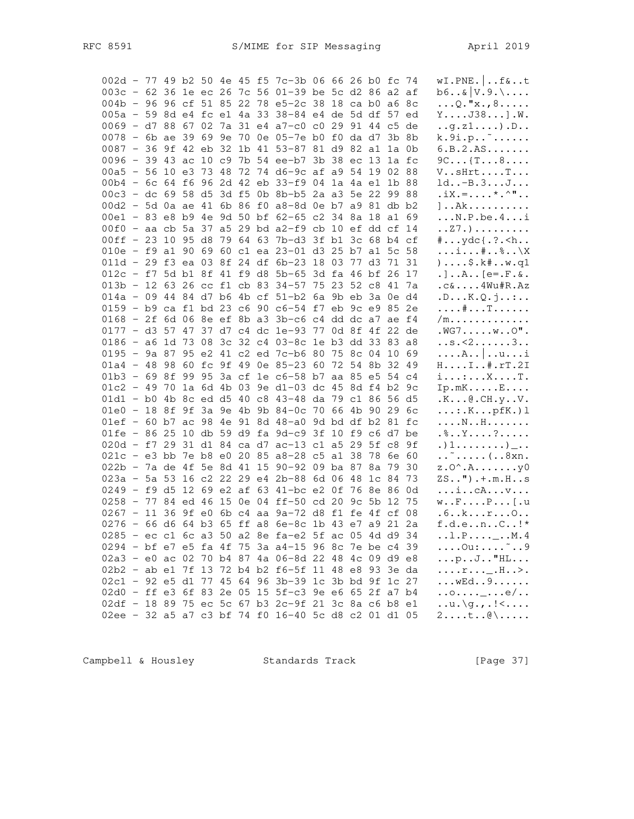| 002d - 77 49 b2 50 4e 45 f5 7c-3b 06 66 26 b0 fc 74   |  |  |  |  |  |  |  |  | $wI.PNE.$ $f&.$ t                                |
|-------------------------------------------------------|--|--|--|--|--|--|--|--|--------------------------------------------------|
| 003c - 62 36 1e ec 26 7c 56 01-39 be 5c d2 86 a2 af   |  |  |  |  |  |  |  |  | $b6&V.9.\$                                       |
| 004b - 96 96 cf 51 85 22 78 e5-2c 38 18 ca b0 a6 8c   |  |  |  |  |  |  |  |  | $\ldots$ Q. "x., 8                               |
| 005a - 59 8d e4 fc e1 4a 33 38-84 e4 de 5d df 57 ed   |  |  |  |  |  |  |  |  | $Y \ldots$ J38]. $W$ .                           |
| 0069 - d7 88 67 02 7a 31 e4 a7-c0 c0 29 91 44 c5 de   |  |  |  |  |  |  |  |  | $\ldots$ g.z $1 \ldots$ ).D                      |
| 0078 - 6b ae 39 69 9e 70 0e 05-7e b0 f0 da d7 3b 8b   |  |  |  |  |  |  |  |  | k.9i.p.                                          |
| 0087 - 36 9f 42 eb 32 1b 41 53-87 81 d9 82 al 1a 0b   |  |  |  |  |  |  |  |  | 6.B.2.AS                                         |
| 0096 - 39 43 ac 10 c9 7b 54 ee-b7 3b 38 ec 13 1a fc   |  |  |  |  |  |  |  |  | $9C \ldots$ { $T \ldots 8 \ldots$ }              |
| 00a5 - 56 10 e3 73 48 72 74 d6-9c af a9 54 19 02 88   |  |  |  |  |  |  |  |  | V. . sHrt. T.                                    |
| 00b4 - 6c 64 f6 96 2d 42 eb 33-f9 04 1a 4a e1 1b 88   |  |  |  |  |  |  |  |  | $ld. -B.3J$                                      |
| 00c3 - dc 69 58 d5 3d f5 0b 8b-b5 2a a3 5e 22 99 88   |  |  |  |  |  |  |  |  | $.$ iX.= * . ^ "                                 |
| 00d2 - 5d 0a ae 41 6b 86 f0 a8-8d 0e b7 a9 81 db b2   |  |  |  |  |  |  |  |  |                                                  |
| 00e1 - 83 e8 b9 4e 9d 50 bf 62-65 c2 34 8a 18 a1 69   |  |  |  |  |  |  |  |  | $] \ldots$ Ak $\ldots$                           |
|                                                       |  |  |  |  |  |  |  |  | $\ldots$ N.P.be.4i                               |
| 00f0 - aa cb 5a 37 a5 29 bd a2-f9 cb 10 ef dd cf 14   |  |  |  |  |  |  |  |  | . . 27 . )                                       |
| 00ff - 23 10 95 d8 79 64 63 7b-d3 3f b1 3c 68 b4 cf   |  |  |  |  |  |  |  |  | $\{ \ldots \}$ $\}$                              |
| 010e - f9 a1 90 69 60 c1 ea 23-01 d3 25 b7 a1 5c 58   |  |  |  |  |  |  |  |  | $\dots i \dots * \dots * \dots \times$           |
| 011d - 29 f3 ea 03 8f 24 df 6b-23 18 03 77 d3 71 31   |  |  |  |  |  |  |  |  | $, \ldots$ \$.k#w.q1                             |
| 012c - f7 5d b1 8f 41 f9 d8 5b-65 3d fa 46 bf 26 17   |  |  |  |  |  |  |  |  | $. \,$ ] $A$ [e=. $F$ .&.                        |
| 013b - 12 63 26 cc f1 cb 83 34-57 75 23 52 c8 41 7a   |  |  |  |  |  |  |  |  | .C&4Wu#R.Az                                      |
| 014a - 09 44 84 d7 b6 4b cf 51-b2 6a 9b eb 3a 0e d4   |  |  |  |  |  |  |  |  | .DK.Q.j:                                         |
| 0159 - b9 ca f1 bd 23 c6 90 c6-54 f7 eb 9c e9 85 2e   |  |  |  |  |  |  |  |  | . # T                                            |
| 0168 - 2f 6d 06 8e ef 8b a3 3b-c6 c4 dd dc a7 ae f4   |  |  |  |  |  |  |  |  | $/m. \ldots \ldots \ldots$                       |
| 0177 - d3 57 47 37 d7 c4 dc 1e-93 77 0d 8f 4f 22 de   |  |  |  |  |  |  |  |  | $.WG7WO"$ .                                      |
| 0186 - a6 1d 73 08 3c 32 c4 03-8c 1e b3 dd 33 83 a8   |  |  |  |  |  |  |  |  | s. < 23                                          |
| 0195 - 9a 87 95 e2 41 c2 ed 7c-b6 80 75 8c 04 10 69   |  |  |  |  |  |  |  |  | $\ldots$ $A \ldots$ $\ldots$ $u \ldots i$        |
| 01a4 - 48 98 60 fc 9f 49 0e 85-23 60 72 54 8b 32 49   |  |  |  |  |  |  |  |  | $HI$ #.rT.2I                                     |
| 01b3 - 69 8f 99 95 3a cf 1e c6-58 b7 aa 85 e5 54 c4   |  |  |  |  |  |  |  |  | $i \ldots i \ldots x \ldots$ T.                  |
| $01c2 - 49$ 70 1a 6d 4b 03 9e d1-03 dc 45 8d f4 b2 9c |  |  |  |  |  |  |  |  | $Ip.mK.\ldots.E\ldots$                           |
| 01d1 - b0 4b 8c ed d5 40 c8 43-48 da 79 c1 86 56 d5   |  |  |  |  |  |  |  |  | .K@.CH.yV.                                       |
| 01e0 - 18 8f 9f 3a 9e 4b 9b 84-0c 70 66 4b 90 29 6c   |  |  |  |  |  |  |  |  | $\ldots$ : $K \ldots p fK.$ ) 1                  |
| 01ef - 60 b7 ac 98 4e 91 8d 48-a0 9d bd df b2 81 fc   |  |  |  |  |  |  |  |  | . N H                                            |
| 01fe - 86 25 10 db 59 d9 fa 9d-c9 3f 10 f9 c6 d7 be   |  |  |  |  |  |  |  |  | $.$ $\text{\^{8}}$ $\text{Y}$ ?                  |
| 020d - f7 29 31 d1 84 ca d7 ac-13 c1 a5 29 5f c8 9f   |  |  |  |  |  |  |  |  | .) $1 \ldots \ldots$                             |
| 021c - e3 bb 7e b8 e0 20 85 a8-28 c5 a1 38 78 6e 60   |  |  |  |  |  |  |  |  | $\dots$ $\dots$ 8xn.                             |
| 022b - 7a de 4f 5e 8d 41 15 90-92 09 ba 87 8a 79 30   |  |  |  |  |  |  |  |  | $z \cdot 0^\wedge \cdot A \cdot \ldots \cdot y0$ |
| 023a - 5a 53 16 c2 22 29 e4 2b-88 6d 06 48 1c 84 73   |  |  |  |  |  |  |  |  | $ZS$ "). $+$ . $m.H.$ .s                         |
| 0249 - f9 d5 12 69 e2 af 63 41-bc e2 0f 76 8e 86 0d   |  |  |  |  |  |  |  |  | $\dots i \dots cA \dots v \dots$                 |
| 0258 - 77 84 ed 46 15 0e 04 ff-50 cd 20 9c 5b 12 75   |  |  |  |  |  |  |  |  | $w \ldots F \ldots P \ldots$ [.u                 |
| 0267 - 11 36 9f e0 6b c4 aa 9a-72 d8 f1 fe 4f cf 08   |  |  |  |  |  |  |  |  | .6. . k. r. 0. .                                 |
| 0276 - 66 d6 64 b3 65 ff a8 6e-8c 1b 43 e7 a9 21 2a   |  |  |  |  |  |  |  |  | $f.d.e. .n. .C. .!*$                             |
| 0285 - ec c1 6c a3 50 a2 8e fa-e2 5f ac 05 4d d9 34   |  |  |  |  |  |  |  |  | $\dots$ 1. P. $\dots$ $\dots$ $\dots$ $M$ . 4    |
| 0294 - bf e7 e5 fa 4f 75 3a a4-15 96 8c 7e be c4 39   |  |  |  |  |  |  |  |  | $\ldots$ . Ou: $\ldots$ $\ldots$ . 9             |
| 02a3 - e0 ac 02 70 b4 87 4a 06-8d 22 48 4c 09 d9 e8   |  |  |  |  |  |  |  |  | $\ldots p \ldots J \ldots$ "HL                   |
| 02b2 - ab e1 7f 13 72 b4 b2 f6-5f 11 48 e8 93 3e da   |  |  |  |  |  |  |  |  | $r$ <sub></sub> H>.                              |
| 02c1 - 92 e5 d1 77 45 64 96 3b-39 1c 3b bd 9f 1c 27   |  |  |  |  |  |  |  |  | $\ldots$ wed. . 9.                               |
| 02d0 - ff e3 6f 83 2e 05 15 5f-c3 9e e6 65 2f a7 b4   |  |  |  |  |  |  |  |  | $\ldots$ 0_e/                                    |
|                                                       |  |  |  |  |  |  |  |  | $\dots u.\g., . \dots$                           |
| 02df - 18 89 75 ec 5c 67 b3 2c-9f 21 3c 8a c6 b8 e1   |  |  |  |  |  |  |  |  |                                                  |
| 02ee - 32 a5 a7 c3 bf 74 f0 16-40 5c d8 c2 01 d1 05   |  |  |  |  |  |  |  |  | $2t\&0\\ \ldots$                                 |

Campbell & Housley Standards Track [Page 37]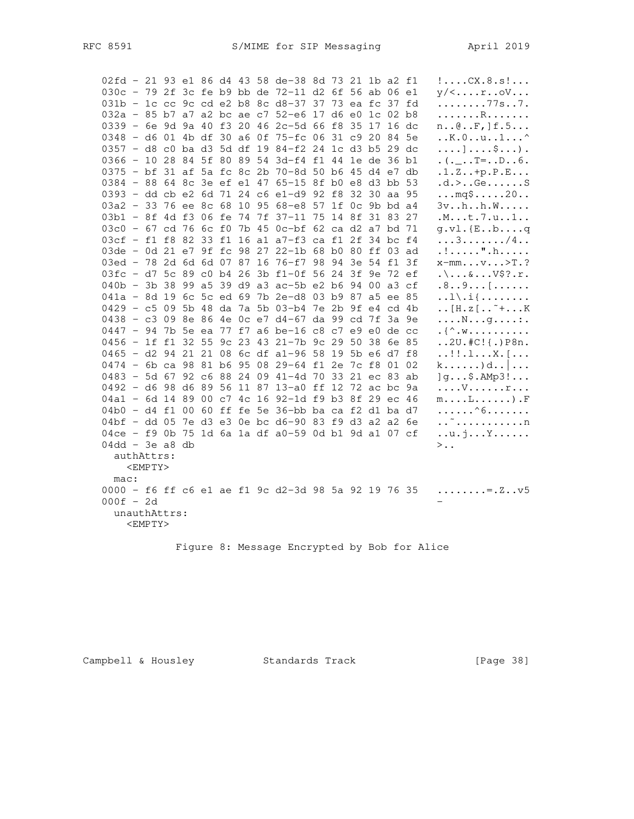| 02fd - 21 93 e1 86 d4 43 58 de-38 8d 73 21 1b a2 f1 |            |  |  |  |  |  |  | $! \ldots$ CX.8.s!                           |
|-----------------------------------------------------|------------|--|--|--|--|--|--|----------------------------------------------|
| 030c - 79 2f 3c fe b9 bb de 72-11 d2 6f 56 ab 06 e1 |            |  |  |  |  |  |  | $y/\langle \ldots r \ldots cV \ldots$        |
| 031b - 1c cc 9c cd e2 b8 8c d8-37 37 73 ea fc 37 fd |            |  |  |  |  |  |  | $\ldots \ldots \ldots 77s \ldots 7$ .        |
| 032a - 85 b7 a7 a2 bc ae c7 52-e6 17 d6 e0 1c 02 b8 |            |  |  |  |  |  |  | . R                                          |
| 0339 - 6e 9d 9a 40 f3 20 46 2c-5d 66 f8 35 17 16 dc |            |  |  |  |  |  |  | $n \ldots \emptyset \ldots F$ , $f \ldots$   |
| 0348 - d6 01 4b df 30 a6 0f 75-fc 06 31 c9 20 84 5e |            |  |  |  |  |  |  | $\ldots$ K. $0\ldots$ u1^                    |
| 0357 - d8 c0 ba d3 5d df 19 84-f2 24 1c d3 b5 29 dc |            |  |  |  |  |  |  | $\dots$ ] $\dots$ . $\ldots$ ).              |
| 0366 - 10 28 84 5f 80 89 54 3d-f4 f1 44 1e de 36 b1 |            |  |  |  |  |  |  | $( ._-.T =D6 .$                              |
| 0375 - bf 31 af 5a fc 8c 2b 70-8d 50 b6 45 d4 e7 db |            |  |  |  |  |  |  | $.1.2. .+p.P.E$                              |
| 0384 - 88 64 8c 3e ef e1 47 65-15 8f b0 e8 d3 bb 53 |            |  |  |  |  |  |  | .d. > Ge. S                                  |
| 0393 - dd cb e2 6d 71 24 c6 e1-d9 92 f8 32 30 aa 95 |            |  |  |  |  |  |  | $\ldots$ mq\$20                              |
| 03a2 - 33 76 ee 8c 68 10 95 68-e8 57 1f 0c 9b bd a4 |            |  |  |  |  |  |  | $3v \ldots h \ldots h \ldots W \ldots$       |
| 03b1 - 8f 4d f3 06 fe 74 7f 37-11 75 14 8f 31 83 27 |            |  |  |  |  |  |  | .M. t. 7. u. . 1. .                          |
| 03c0 - 67 cd 76 6c f0 7b 45 0c-bf 62 ca d2 a7 bd 71 |            |  |  |  |  |  |  | $q.vl.$ {Ebq                                 |
| 03cf - f1 f8 82 33 f1 16 a1 a7-f3 ca f1 2f 34 bc f4 |            |  |  |  |  |  |  | $\ldots 3 \ldots \ldots \frac{1}{4} \ldots$  |
| 03de - 0d 21 e7 9f fc 98 27 22-1b 68 b0 80 ff 03 ad |            |  |  |  |  |  |  | .!".h                                        |
| 03ed - 78 2d 6d 6d 07 87 16 76-f7 98 94 3e 54 f1 3f |            |  |  |  |  |  |  | $x-mmv$ >T.?                                 |
| 03fc - d7 5c 89 c0 b4 26 3b f1-0f 56 24 3f 9e 72 ef |            |  |  |  |  |  |  | $.\ .\ .\ .\ .\ .\ .\ \vee$ \$?.r.           |
| 040b - 3b 38 99 a5 39 d9 a3 ac-5b e2 b6 94 00 a3 cf |            |  |  |  |  |  |  | $.8. .9.$ [                                  |
| 041a - 8d 19 6c 5c ed 69 7b 2e-d8 03 b9 87 a5 ee 85 |            |  |  |  |  |  |  | $\ldots$ $\ldots$ $\ldots$ $\ldots$          |
| 0429 - c5 09 5b 48 da 7a 5b 03-b4 7e 2b 9f e4 cd 4b |            |  |  |  |  |  |  | $\ldots$ [H. z [ ~ + K                       |
| 0438 - c3 09 8e 86 4e 0c e7 d4-67 da 99 cd 7f 3a 9e |            |  |  |  |  |  |  | $\ldots$ N $\ldots$ g. $\ldots$ : .          |
| 0447 - 94 7b 5e ea 77 f7 a6 be-16 c8 c7 e9 e0 de cc |            |  |  |  |  |  |  | $\mathcal{N}$ . We assume that $\mathcal{N}$ |
| 0456 - 1f f1 32 55 9c 23 43 21-7b 9c 29 50 38 6e 85 |            |  |  |  |  |  |  | $.2U.*C:\{.\}P8n.$                           |
| 0465 - d2 94 21 21 08 6c df a1-96 58 19 5b e6 d7 f8 |            |  |  |  |  |  |  | $\dots$ !! $\dots$ X $.\,$ [ $\dots$         |
| 0474 - 6b ca 98 81 b6 95 08 29-64 f1 2e 7c f8 01 02 |            |  |  |  |  |  |  |                                              |
| 0483 - 5d 67 92 c6 88 24 09 41-4d 70 33 21 ec 83 ab |            |  |  |  |  |  |  | $\lg$ \$.AMp3!                               |
| 0492 - d6 98 d6 89 56 11 87 13-a0 ff 12 72 ac bc 9a |            |  |  |  |  |  |  | . V r                                        |
| 04a1 - 6d 14 89 00 c7 4c 16 92-1d f9 b3 8f 29 ec 46 |            |  |  |  |  |  |  | $m \ldots L \ldots \ldots$ ). F              |
| 04b0 - d4 f1 00 60 ff fe 5e 36-bb ba ca f2 d1 ba d7 |            |  |  |  |  |  |  | . ^6.                                        |
| 04bf - dd 05 7e d3 e3 0e bc d6-90 83 f9 d3 a2 a2 6e |            |  |  |  |  |  |  | . . ~ n                                      |
| 04ce - f9 0b 75 1d 6a 1a df a0-59 0d b1 9d a1 07 cf |            |  |  |  |  |  |  | $\dots u \cdot j \dots Y \dots \dots$        |
| $04dd - 3e$ a8 db                                   |            |  |  |  |  |  |  | $>$                                          |
| authAttrs:                                          |            |  |  |  |  |  |  |                                              |
|                                                     | $<$ EMPTY> |  |  |  |  |  |  |                                              |
| mac:                                                |            |  |  |  |  |  |  |                                              |
| 0000 - f6 ff c6 e1 ae f1 9c d2-3d 98 5a 92 19 76 35 |            |  |  |  |  |  |  | $\ldots \ldots \ldots = 2 \ldots \vee 5$     |
| $000f - 2d$                                         |            |  |  |  |  |  |  |                                              |
| unauthAttrs:                                        |            |  |  |  |  |  |  |                                              |
|                                                     | $<$ EMPTY> |  |  |  |  |  |  |                                              |
|                                                     |            |  |  |  |  |  |  |                                              |

Figure 8: Message Encrypted by Bob for Alice

# Campbell & Housley Standards Track [Page 38]